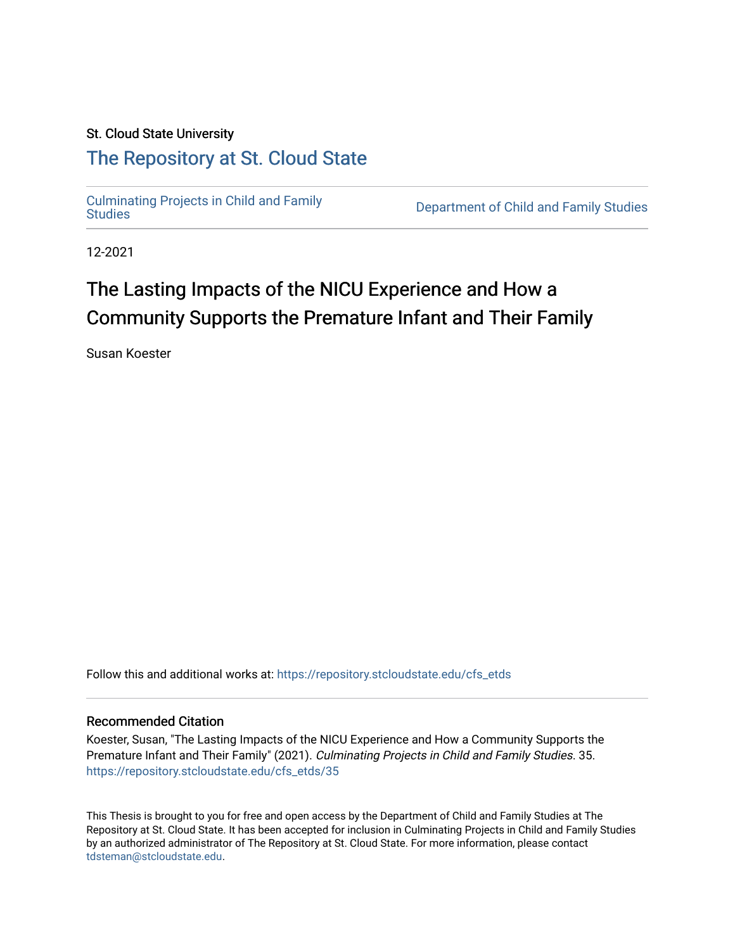## St. Cloud State University

## [The Repository at St. Cloud State](https://repository.stcloudstate.edu/)

[Culminating Projects in Child and Family](https://repository.stcloudstate.edu/cfs_etds) 

Department of Child and Family Studies

12-2021

# The Lasting Impacts of the NICU Experience and How a Community Supports the Premature Infant and Their Family

Susan Koester

Follow this and additional works at: [https://repository.stcloudstate.edu/cfs\\_etds](https://repository.stcloudstate.edu/cfs_etds?utm_source=repository.stcloudstate.edu%2Fcfs_etds%2F35&utm_medium=PDF&utm_campaign=PDFCoverPages)

### Recommended Citation

Koester, Susan, "The Lasting Impacts of the NICU Experience and How a Community Supports the Premature Infant and Their Family" (2021). Culminating Projects in Child and Family Studies. 35. [https://repository.stcloudstate.edu/cfs\\_etds/35](https://repository.stcloudstate.edu/cfs_etds/35?utm_source=repository.stcloudstate.edu%2Fcfs_etds%2F35&utm_medium=PDF&utm_campaign=PDFCoverPages) 

This Thesis is brought to you for free and open access by the Department of Child and Family Studies at The Repository at St. Cloud State. It has been accepted for inclusion in Culminating Projects in Child and Family Studies by an authorized administrator of The Repository at St. Cloud State. For more information, please contact [tdsteman@stcloudstate.edu](mailto:tdsteman@stcloudstate.edu).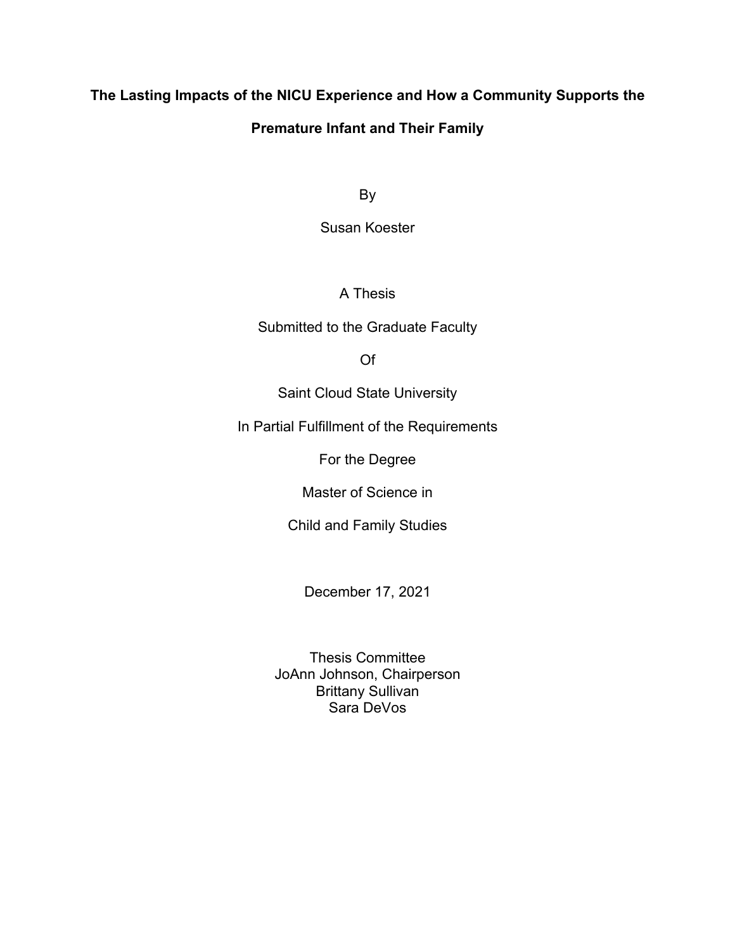## **The Lasting Impacts of the NICU Experience and How a Community Supports the**

## **Premature Infant and Their Family**

By

Susan Koester

## A Thesis

## Submitted to the Graduate Faculty

Of

Saint Cloud State University

In Partial Fulfillment of the Requirements

For the Degree

Master of Science in

Child and Family Studies

December 17, 2021

Thesis Committee JoAnn Johnson, Chairperson Brittany Sullivan Sara DeVos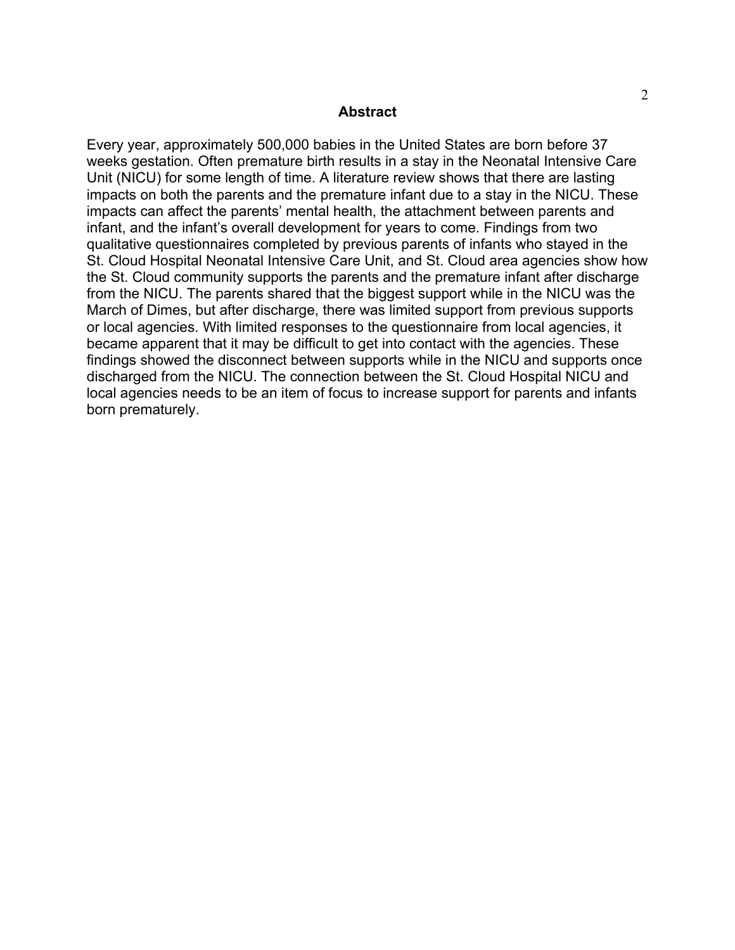### **Abstract**

Every year, approximately 500,000 babies in the United States are born before 37 weeks gestation. Often premature birth results in a stay in the Neonatal Intensive Care Unit (NICU) for some length of time. A literature review shows that there are lasting impacts on both the parents and the premature infant due to a stay in the NICU. These impacts can affect the parents' mental health, the attachment between parents and infant, and the infant's overall development for years to come. Findings from two qualitative questionnaires completed by previous parents of infants who stayed in the St. Cloud Hospital Neonatal Intensive Care Unit, and St. Cloud area agencies show how the St. Cloud community supports the parents and the premature infant after discharge from the NICU. The parents shared that the biggest support while in the NICU was the March of Dimes, but after discharge, there was limited support from previous supports or local agencies. With limited responses to the questionnaire from local agencies, it became apparent that it may be difficult to get into contact with the agencies. These findings showed the disconnect between supports while in the NICU and supports once discharged from the NICU. The connection between the St. Cloud Hospital NICU and local agencies needs to be an item of focus to increase support for parents and infants born prematurely.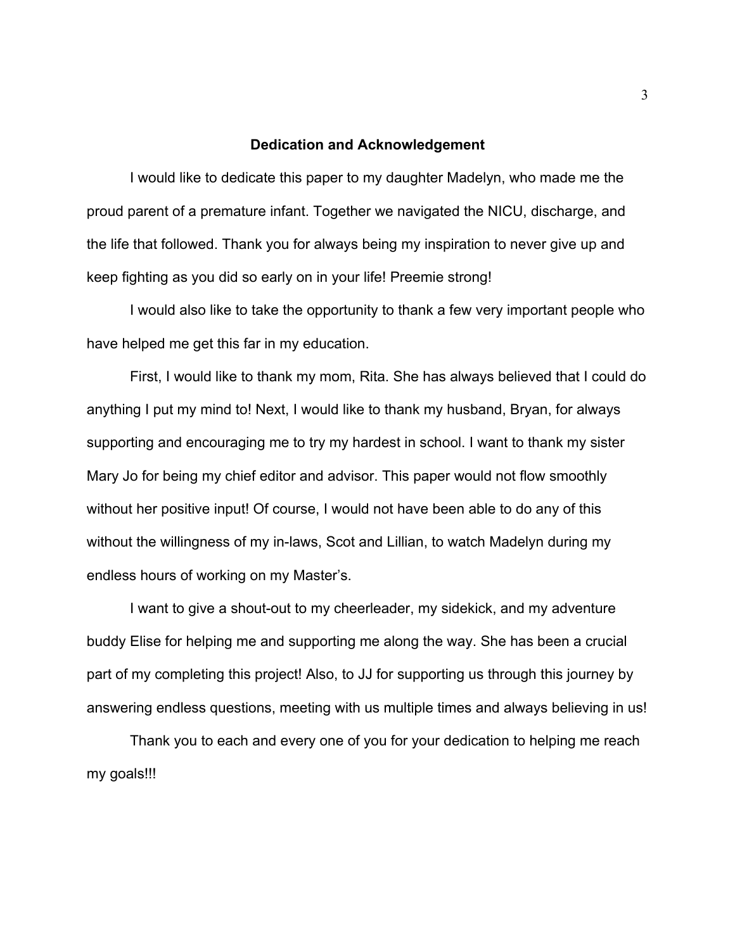#### **Dedication and Acknowledgement**

I would like to dedicate this paper to my daughter Madelyn, who made me the proud parent of a premature infant. Together we navigated the NICU, discharge, and the life that followed. Thank you for always being my inspiration to never give up and keep fighting as you did so early on in your life! Preemie strong!

I would also like to take the opportunity to thank a few very important people who have helped me get this far in my education.

First, I would like to thank my mom, Rita. She has always believed that I could do anything I put my mind to! Next, I would like to thank my husband, Bryan, for always supporting and encouraging me to try my hardest in school. I want to thank my sister Mary Jo for being my chief editor and advisor. This paper would not flow smoothly without her positive input! Of course, I would not have been able to do any of this without the willingness of my in-laws, Scot and Lillian, to watch Madelyn during my endless hours of working on my Master's.

I want to give a shout-out to my cheerleader, my sidekick, and my adventure buddy Elise for helping me and supporting me along the way. She has been a crucial part of my completing this project! Also, to JJ for supporting us through this journey by answering endless questions, meeting with us multiple times and always believing in us!

Thank you to each and every one of you for your dedication to helping me reach my goals!!!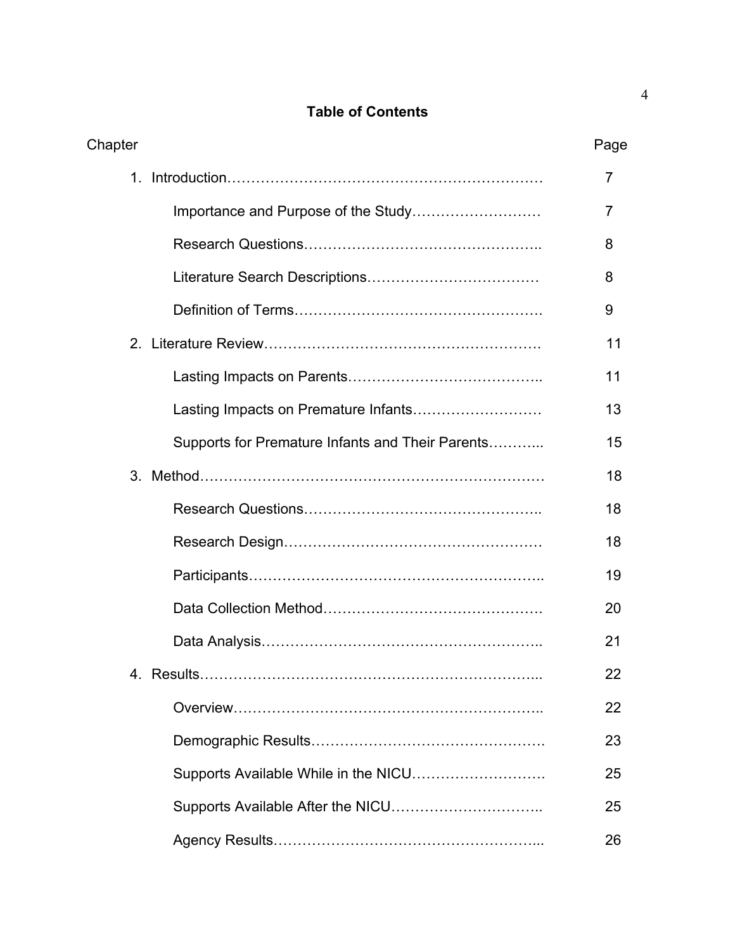## **Table of Contents**

| Chapter |                                                  | Page |
|---------|--------------------------------------------------|------|
|         |                                                  | 7    |
|         |                                                  | 7    |
|         |                                                  | 8    |
|         |                                                  | 8    |
|         |                                                  | 9    |
|         |                                                  | 11   |
|         |                                                  | 11   |
|         | Lasting Impacts on Premature Infants             | 13   |
|         | Supports for Premature Infants and Their Parents | 15   |
|         |                                                  | 18   |
|         |                                                  | 18   |
|         |                                                  | 18   |
|         |                                                  | 19   |
|         |                                                  | 20   |
|         |                                                  | 21   |
| 4.      |                                                  | 22   |
|         |                                                  | 22   |
|         |                                                  | 23   |
|         |                                                  | 25   |
|         |                                                  | 25   |
|         |                                                  | 26   |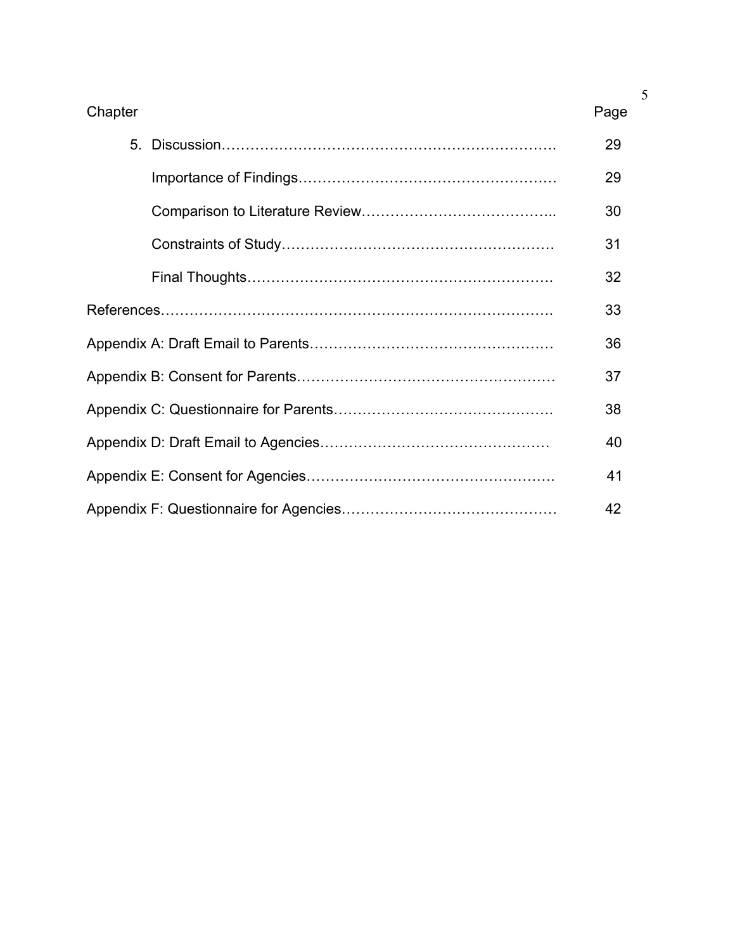| Chapter | Page |
|---------|------|
|         | 29   |
|         | 29   |
|         | 30   |
|         | 31   |
|         | 32   |
|         | 33   |
|         | 36   |
|         | 37   |
|         | 38   |
|         | 40   |
|         | 41   |
|         | 42   |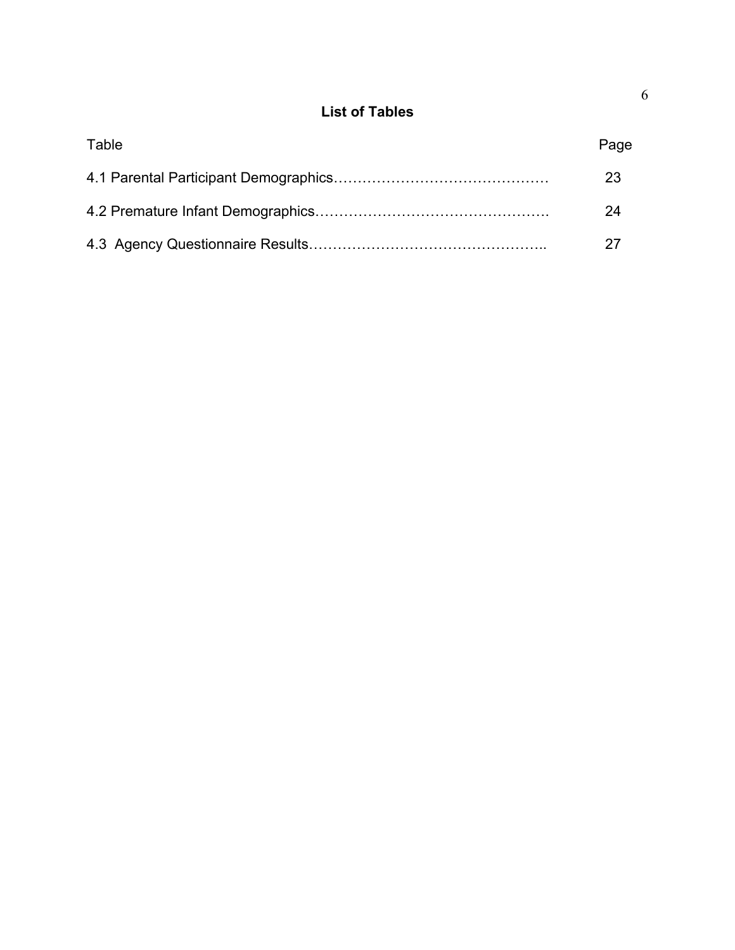## **List of Tables**

| Table | Page |
|-------|------|
|       | 23   |
|       | 24   |
|       |      |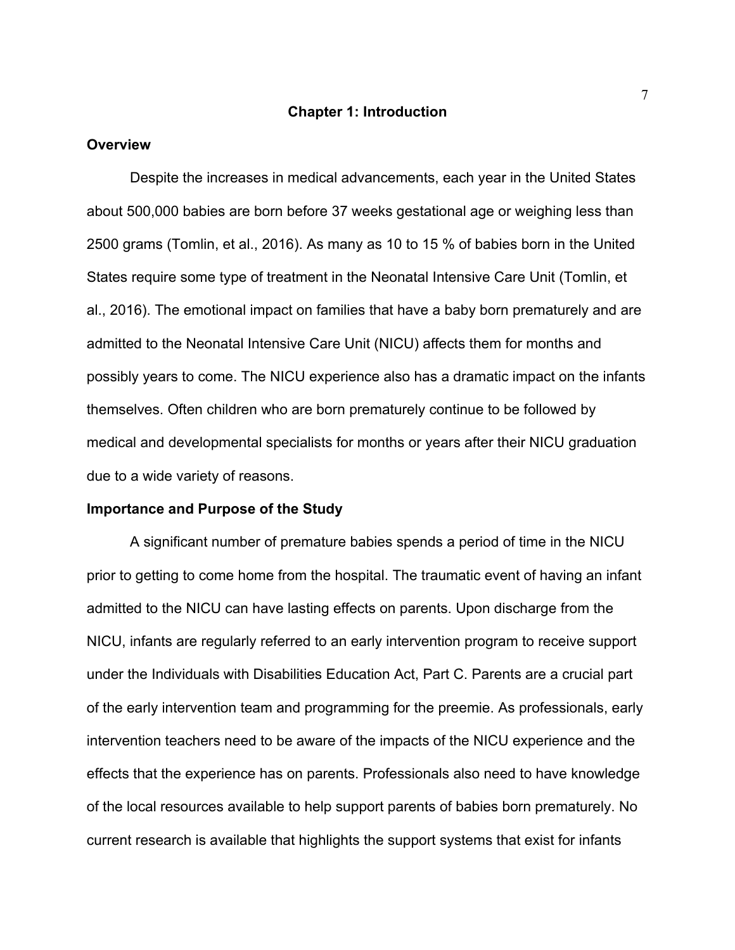#### **Overview**

Despite the increases in medical advancements, each year in the United States about 500,000 babies are born before 37 weeks gestational age or weighing less than 2500 grams (Tomlin, et al., 2016). As many as 10 to 15 % of babies born in the United States require some type of treatment in the Neonatal Intensive Care Unit (Tomlin, et al., 2016). The emotional impact on families that have a baby born prematurely and are admitted to the Neonatal Intensive Care Unit (NICU) affects them for months and possibly years to come. The NICU experience also has a dramatic impact on the infants themselves. Often children who are born prematurely continue to be followed by medical and developmental specialists for months or years after their NICU graduation due to a wide variety of reasons.

### **Importance and Purpose of the Study**

A significant number of premature babies spends a period of time in the NICU prior to getting to come home from the hospital. The traumatic event of having an infant admitted to the NICU can have lasting effects on parents. Upon discharge from the NICU, infants are regularly referred to an early intervention program to receive support under the Individuals with Disabilities Education Act, Part C. Parents are a crucial part of the early intervention team and programming for the preemie. As professionals, early intervention teachers need to be aware of the impacts of the NICU experience and the effects that the experience has on parents. Professionals also need to have knowledge of the local resources available to help support parents of babies born prematurely. No current research is available that highlights the support systems that exist for infants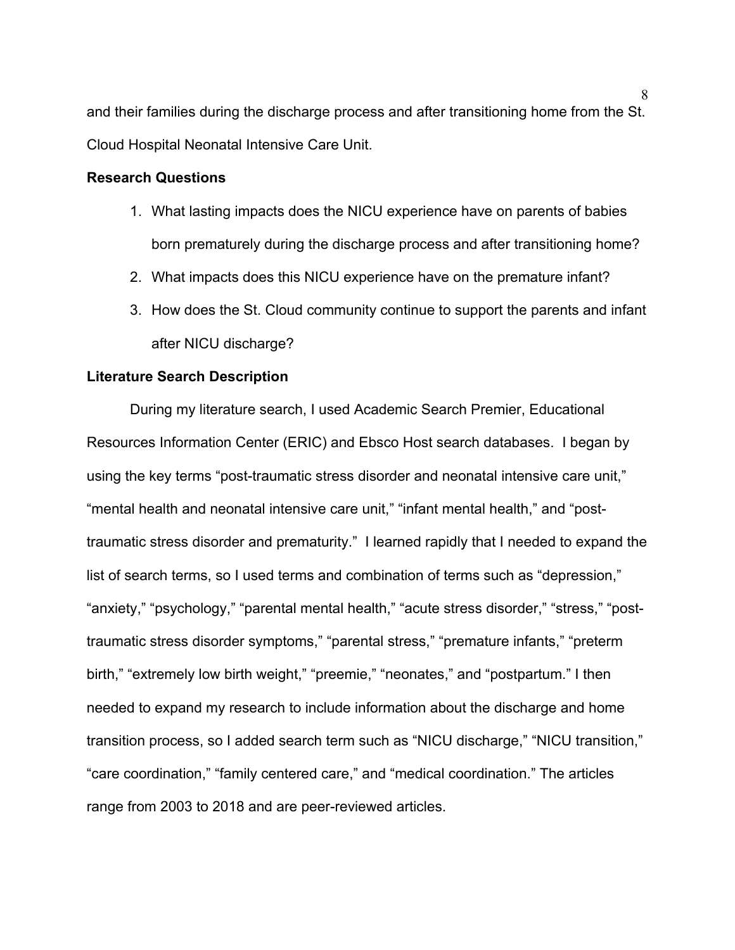and their families during the discharge process and after transitioning home from the St. Cloud Hospital Neonatal Intensive Care Unit.

### **Research Questions**

- 1. What lasting impacts does the NICU experience have on parents of babies born prematurely during the discharge process and after transitioning home?
- 2. What impacts does this NICU experience have on the premature infant?
- 3. How does the St. Cloud community continue to support the parents and infant after NICU discharge?

### **Literature Search Description**

During my literature search, I used Academic Search Premier, Educational Resources Information Center (ERIC) and Ebsco Host search databases. I began by using the key terms "post-traumatic stress disorder and neonatal intensive care unit," "mental health and neonatal intensive care unit," "infant mental health," and "posttraumatic stress disorder and prematurity." I learned rapidly that I needed to expand the list of search terms, so I used terms and combination of terms such as "depression," "anxiety," "psychology," "parental mental health," "acute stress disorder," "stress," "posttraumatic stress disorder symptoms," "parental stress," "premature infants," "preterm birth," "extremely low birth weight," "preemie," "neonates," and "postpartum." I then needed to expand my research to include information about the discharge and home transition process, so I added search term such as "NICU discharge," "NICU transition," "care coordination," "family centered care," and "medical coordination." The articles range from 2003 to 2018 and are peer-reviewed articles.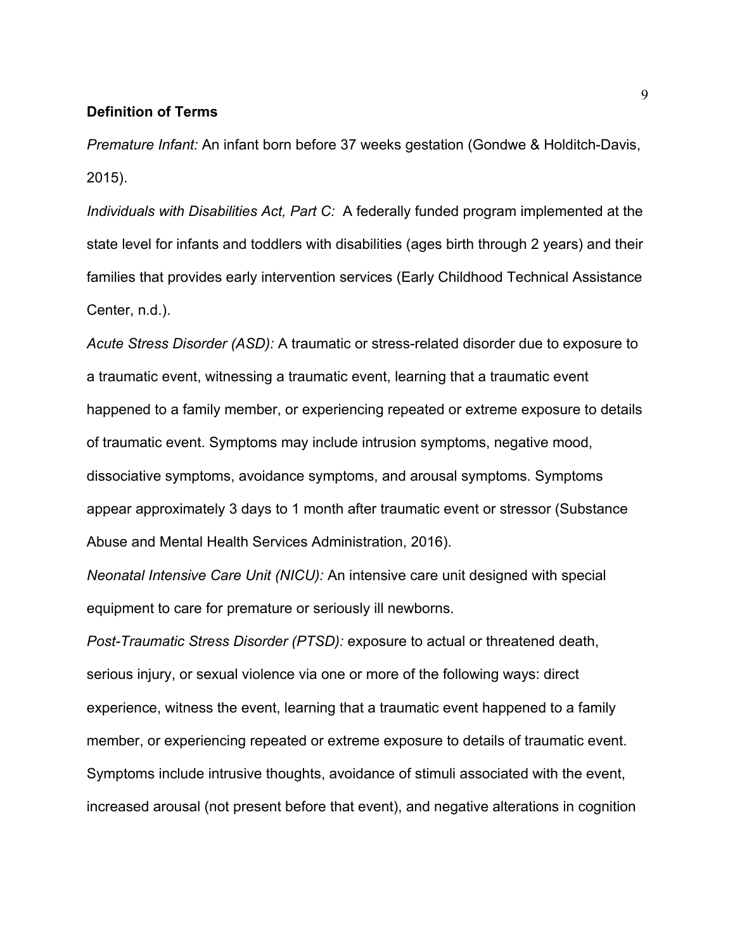### **Definition of Terms**

*Premature Infant:* An infant born before 37 weeks gestation (Gondwe & Holditch-Davis, 2015).

*Individuals with Disabilities Act, Part C:* A federally funded program implemented at the state level for infants and toddlers with disabilities (ages birth through 2 years) and their families that provides early intervention services (Early Childhood Technical Assistance Center, n.d.).

*Acute Stress Disorder (ASD):* A traumatic or stress-related disorder due to exposure to a traumatic event, witnessing a traumatic event, learning that a traumatic event happened to a family member, or experiencing repeated or extreme exposure to details of traumatic event. Symptoms may include intrusion symptoms, negative mood, dissociative symptoms, avoidance symptoms, and arousal symptoms. Symptoms appear approximately 3 days to 1 month after traumatic event or stressor (Substance Abuse and Mental Health Services Administration, 2016).

*Neonatal Intensive Care Unit (NICU):* An intensive care unit designed with special equipment to care for premature or seriously ill newborns.

*Post-Traumatic Stress Disorder (PTSD):* exposure to actual or threatened death, serious injury, or sexual violence via one or more of the following ways: direct experience, witness the event, learning that a traumatic event happened to a family member, or experiencing repeated or extreme exposure to details of traumatic event. Symptoms include intrusive thoughts, avoidance of stimuli associated with the event, increased arousal (not present before that event), and negative alterations in cognition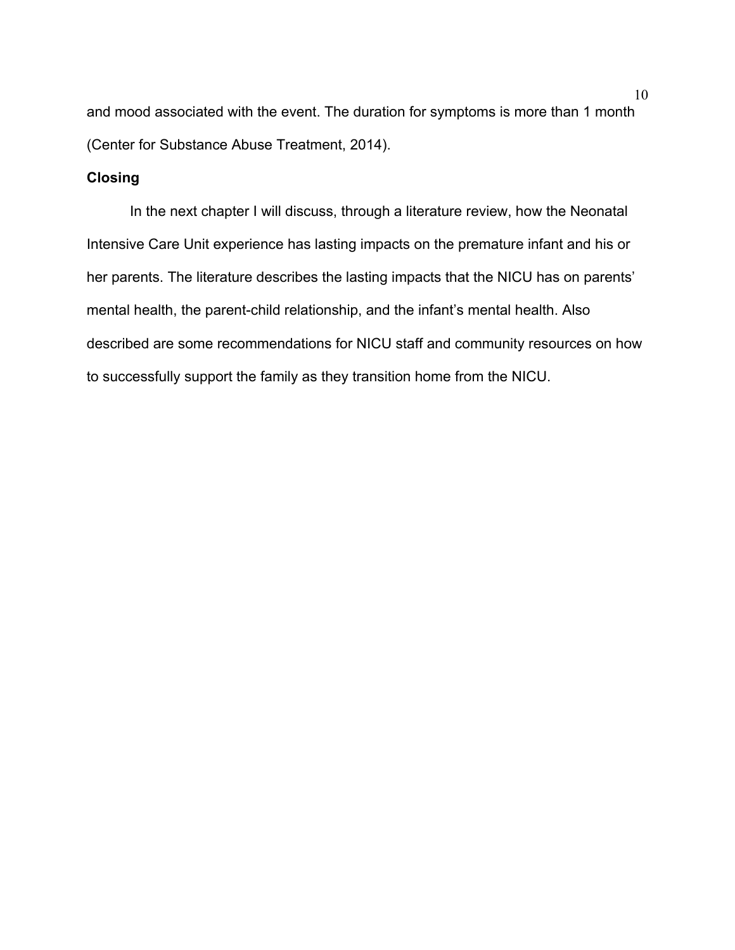and mood associated with the event. The duration for symptoms is more than 1 month (Center for Substance Abuse Treatment, 2014).

## **Closing**

In the next chapter I will discuss, through a literature review, how the Neonatal Intensive Care Unit experience has lasting impacts on the premature infant and his or her parents. The literature describes the lasting impacts that the NICU has on parents' mental health, the parent-child relationship, and the infant's mental health. Also described are some recommendations for NICU staff and community resources on how to successfully support the family as they transition home from the NICU.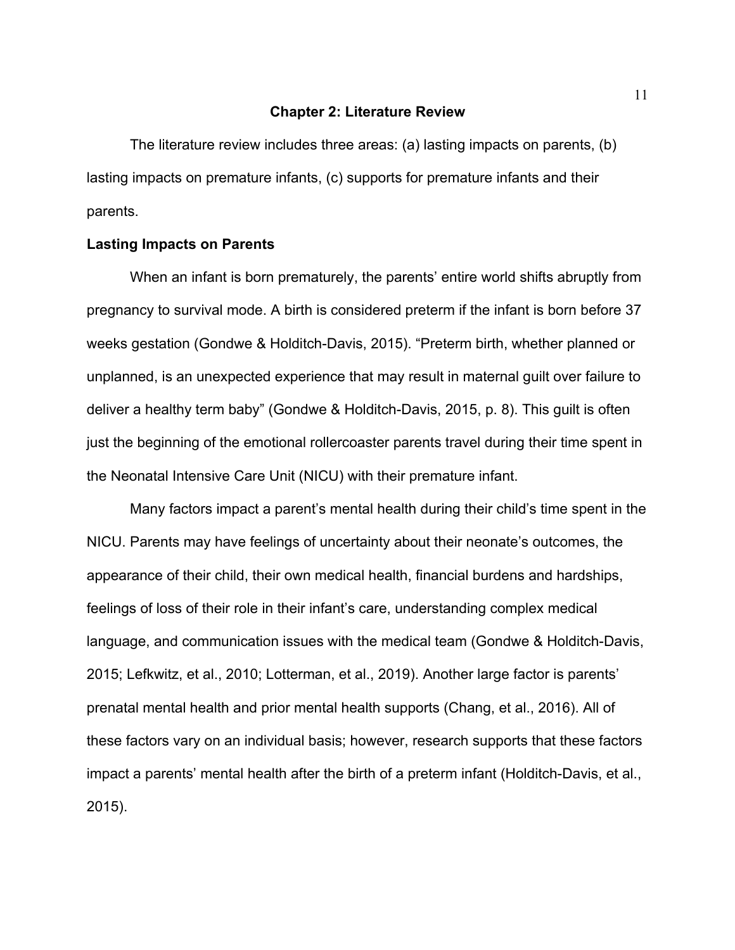#### **Chapter 2: Literature Review**

The literature review includes three areas: (a) lasting impacts on parents, (b) lasting impacts on premature infants, (c) supports for premature infants and their parents.

### **Lasting Impacts on Parents**

When an infant is born prematurely, the parents' entire world shifts abruptly from pregnancy to survival mode. A birth is considered preterm if the infant is born before 37 weeks gestation (Gondwe & Holditch-Davis, 2015). "Preterm birth, whether planned or unplanned, is an unexpected experience that may result in maternal guilt over failure to deliver a healthy term baby" (Gondwe & Holditch-Davis, 2015, p. 8). This guilt is often just the beginning of the emotional rollercoaster parents travel during their time spent in the Neonatal Intensive Care Unit (NICU) with their premature infant.

Many factors impact a parent's mental health during their child's time spent in the NICU. Parents may have feelings of uncertainty about their neonate's outcomes, the appearance of their child, their own medical health, financial burdens and hardships, feelings of loss of their role in their infant's care, understanding complex medical language, and communication issues with the medical team (Gondwe & Holditch-Davis, 2015; Lefkwitz, et al., 2010; Lotterman, et al., 2019). Another large factor is parents' prenatal mental health and prior mental health supports (Chang, et al., 2016). All of these factors vary on an individual basis; however, research supports that these factors impact a parents' mental health after the birth of a preterm infant (Holditch-Davis, et al., 2015).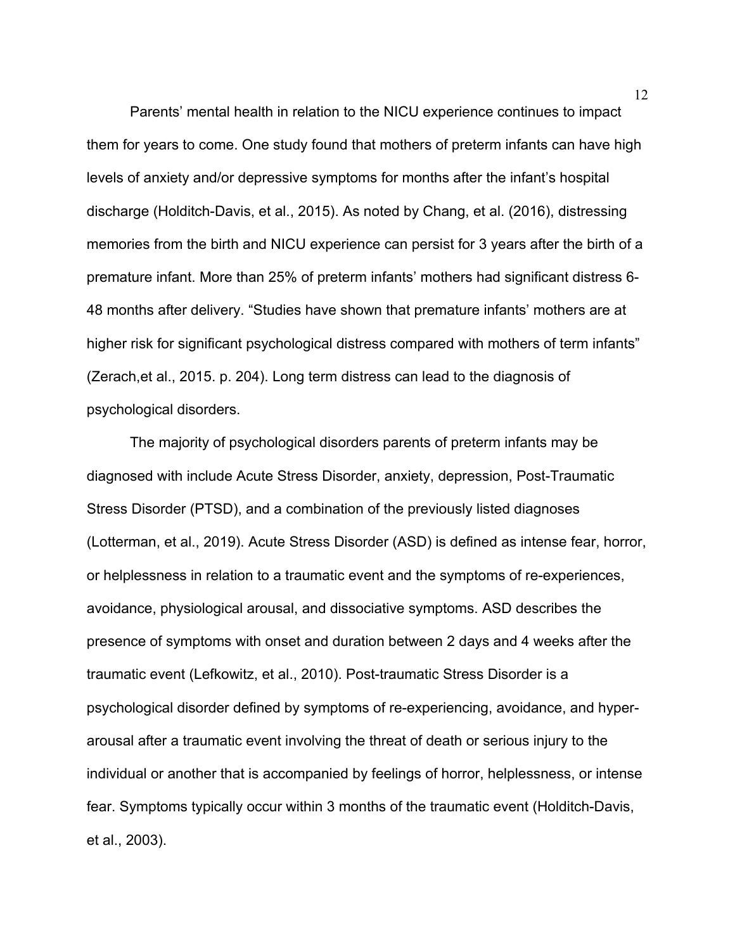Parents' mental health in relation to the NICU experience continues to impact them for years to come. One study found that mothers of preterm infants can have high levels of anxiety and/or depressive symptoms for months after the infant's hospital discharge (Holditch-Davis, et al., 2015). As noted by Chang, et al. (2016), distressing memories from the birth and NICU experience can persist for 3 years after the birth of a premature infant. More than 25% of preterm infants' mothers had significant distress 6- 48 months after delivery. "Studies have shown that premature infants' mothers are at higher risk for significant psychological distress compared with mothers of term infants" (Zerach,et al., 2015. p. 204). Long term distress can lead to the diagnosis of psychological disorders.

The majority of psychological disorders parents of preterm infants may be diagnosed with include Acute Stress Disorder, anxiety, depression, Post-Traumatic Stress Disorder (PTSD), and a combination of the previously listed diagnoses (Lotterman, et al., 2019). Acute Stress Disorder (ASD) is defined as intense fear, horror, or helplessness in relation to a traumatic event and the symptoms of re-experiences, avoidance, physiological arousal, and dissociative symptoms. ASD describes the presence of symptoms with onset and duration between 2 days and 4 weeks after the traumatic event (Lefkowitz, et al., 2010). Post-traumatic Stress Disorder is a psychological disorder defined by symptoms of re-experiencing, avoidance, and hyperarousal after a traumatic event involving the threat of death or serious injury to the individual or another that is accompanied by feelings of horror, helplessness, or intense fear. Symptoms typically occur within 3 months of the traumatic event (Holditch-Davis, et al., 2003).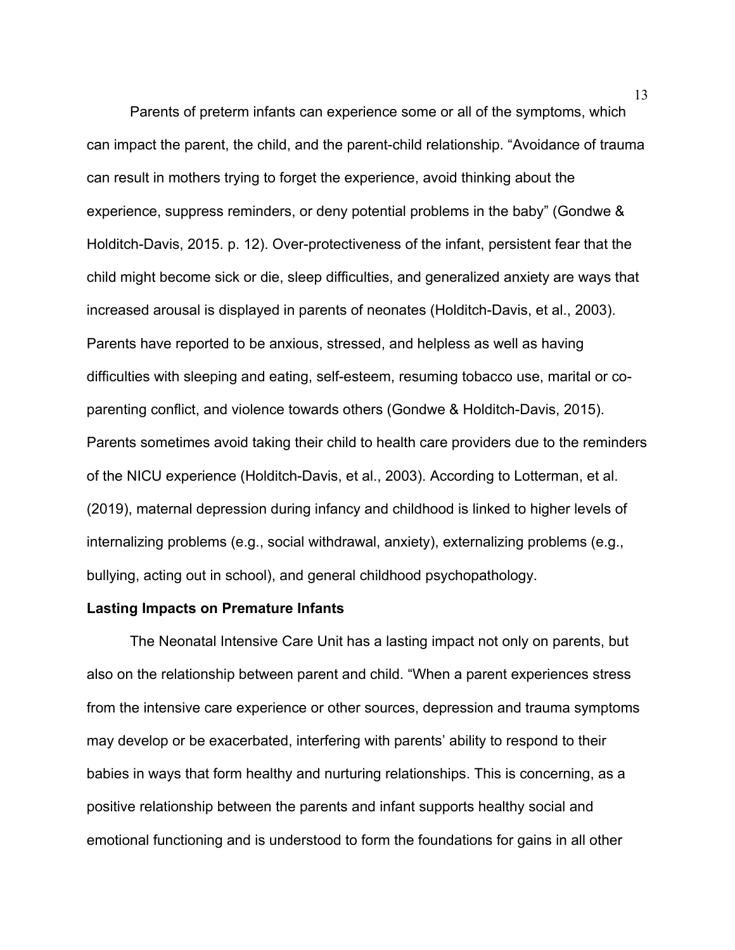Parents of preterm infants can experience some or all of the symptoms, which can impact the parent, the child, and the parent-child relationship. "Avoidance of trauma can result in mothers trying to forget the experience, avoid thinking about the experience, suppress reminders, or deny potential problems in the baby" (Gondwe & Holditch-Davis, 2015. p. 12). Over-protectiveness of the infant, persistent fear that the child might become sick or die, sleep difficulties, and generalized anxiety are ways that increased arousal is displayed in parents of neonates (Holditch-Davis, et al., 2003). Parents have reported to be anxious, stressed, and helpless as well as having difficulties with sleeping and eating, self-esteem, resuming tobacco use, marital or coparenting conflict, and violence towards others (Gondwe & Holditch-Davis, 2015). Parents sometimes avoid taking their child to health care providers due to the reminders of the NICU experience (Holditch-Davis, et al., 2003). According to Lotterman, et al. (2019), maternal depression during infancy and childhood is linked to higher levels of internalizing problems (e.g., social withdrawal, anxiety), externalizing problems (e.g., bullying, acting out in school), and general childhood psychopathology.

### **Lasting Impacts on Premature Infants**

The Neonatal Intensive Care Unit has a lasting impact not only on parents, but also on the relationship between parent and child. "When a parent experiences stress from the intensive care experience or other sources, depression and trauma symptoms may develop or be exacerbated, interfering with parents' ability to respond to their babies in ways that form healthy and nurturing relationships. This is concerning, as a positive relationship between the parents and infant supports healthy social and emotional functioning and is understood to form the foundations for gains in all other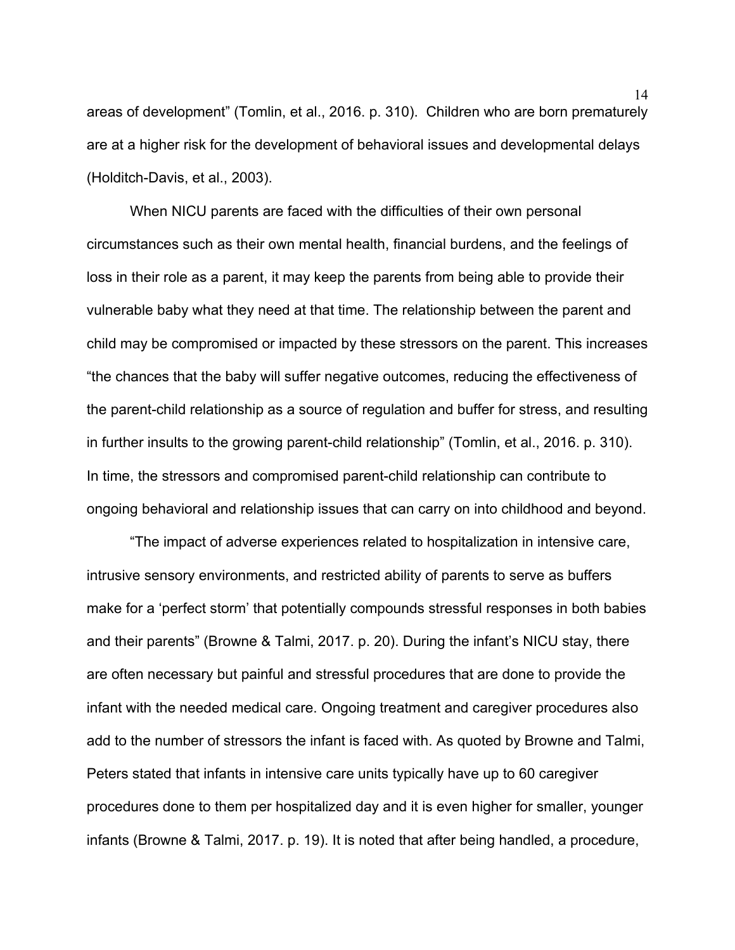areas of development" (Tomlin, et al., 2016. p. 310). Children who are born prematurely are at a higher risk for the development of behavioral issues and developmental delays (Holditch-Davis, et al., 2003).

When NICU parents are faced with the difficulties of their own personal circumstances such as their own mental health, financial burdens, and the feelings of loss in their role as a parent, it may keep the parents from being able to provide their vulnerable baby what they need at that time. The relationship between the parent and child may be compromised or impacted by these stressors on the parent. This increases "the chances that the baby will suffer negative outcomes, reducing the effectiveness of the parent-child relationship as a source of regulation and buffer for stress, and resulting in further insults to the growing parent-child relationship" (Tomlin, et al., 2016. p. 310). In time, the stressors and compromised parent-child relationship can contribute to ongoing behavioral and relationship issues that can carry on into childhood and beyond.

"The impact of adverse experiences related to hospitalization in intensive care, intrusive sensory environments, and restricted ability of parents to serve as buffers make for a 'perfect storm' that potentially compounds stressful responses in both babies and their parents" (Browne & Talmi, 2017. p. 20). During the infant's NICU stay, there are often necessary but painful and stressful procedures that are done to provide the infant with the needed medical care. Ongoing treatment and caregiver procedures also add to the number of stressors the infant is faced with. As quoted by Browne and Talmi, Peters stated that infants in intensive care units typically have up to 60 caregiver procedures done to them per hospitalized day and it is even higher for smaller, younger infants (Browne & Talmi, 2017. p. 19). It is noted that after being handled, a procedure,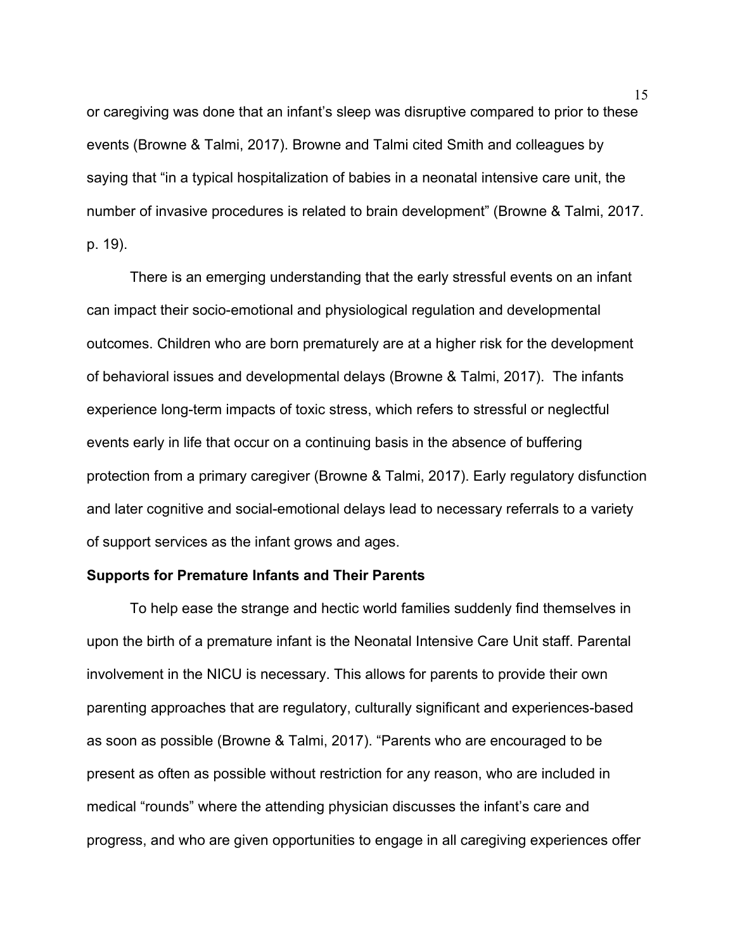or caregiving was done that an infant's sleep was disruptive compared to prior to these events (Browne & Talmi, 2017). Browne and Talmi cited Smith and colleagues by saying that "in a typical hospitalization of babies in a neonatal intensive care unit, the number of invasive procedures is related to brain development" (Browne & Talmi, 2017. p. 19).

There is an emerging understanding that the early stressful events on an infant can impact their socio-emotional and physiological regulation and developmental outcomes. Children who are born prematurely are at a higher risk for the development of behavioral issues and developmental delays (Browne & Talmi, 2017). The infants experience long-term impacts of toxic stress, which refers to stressful or neglectful events early in life that occur on a continuing basis in the absence of buffering protection from a primary caregiver (Browne & Talmi, 2017). Early regulatory disfunction and later cognitive and social-emotional delays lead to necessary referrals to a variety of support services as the infant grows and ages.

### **Supports for Premature Infants and Their Parents**

To help ease the strange and hectic world families suddenly find themselves in upon the birth of a premature infant is the Neonatal Intensive Care Unit staff. Parental involvement in the NICU is necessary. This allows for parents to provide their own parenting approaches that are regulatory, culturally significant and experiences-based as soon as possible (Browne & Talmi, 2017). "Parents who are encouraged to be present as often as possible without restriction for any reason, who are included in medical "rounds" where the attending physician discusses the infant's care and progress, and who are given opportunities to engage in all caregiving experiences offer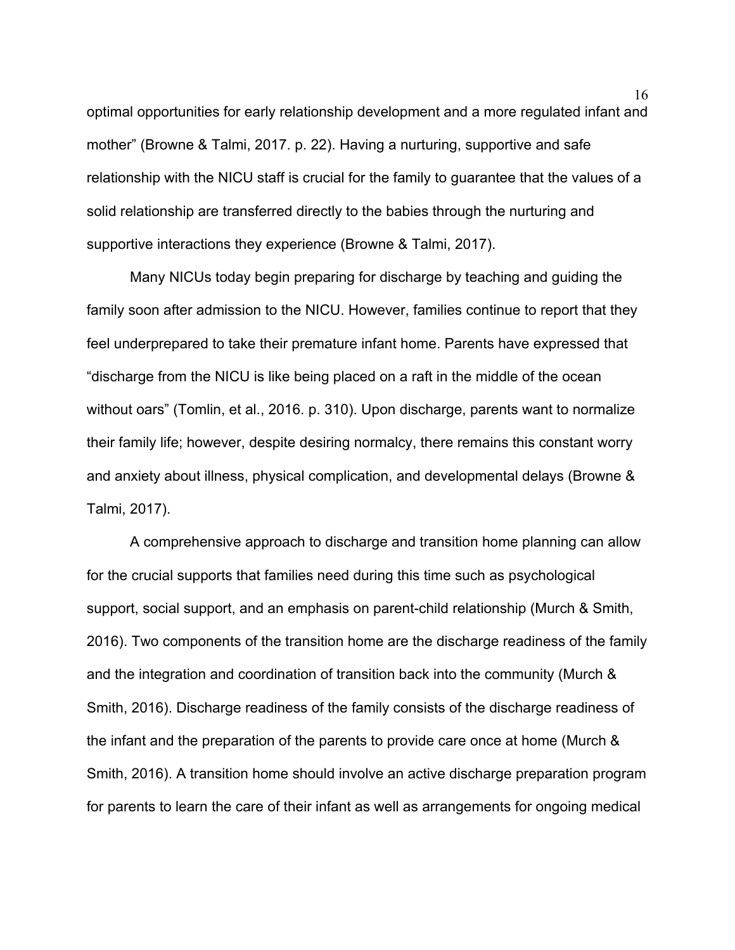optimal opportunities for early relationship development and a more regulated infant and mother" (Browne & Talmi, 2017. p. 22). Having a nurturing, supportive and safe relationship with the NICU staff is crucial for the family to guarantee that the values of a solid relationship are transferred directly to the babies through the nurturing and supportive interactions they experience (Browne & Talmi, 2017).

Many NICUs today begin preparing for discharge by teaching and guiding the family soon after admission to the NICU. However, families continue to report that they feel underprepared to take their premature infant home. Parents have expressed that "discharge from the NICU is like being placed on a raft in the middle of the ocean without oars" (Tomlin, et al., 2016. p. 310). Upon discharge, parents want to normalize their family life; however, despite desiring normalcy, there remains this constant worry and anxiety about illness, physical complication, and developmental delays (Browne & Talmi, 2017).

A comprehensive approach to discharge and transition home planning can allow for the crucial supports that families need during this time such as psychological support, social support, and an emphasis on parent-child relationship (Murch & Smith, 2016). Two components of the transition home are the discharge readiness of the family and the integration and coordination of transition back into the community (Murch & Smith, 2016). Discharge readiness of the family consists of the discharge readiness of the infant and the preparation of the parents to provide care once at home (Murch & Smith, 2016). A transition home should involve an active discharge preparation program for parents to learn the care of their infant as well as arrangements for ongoing medical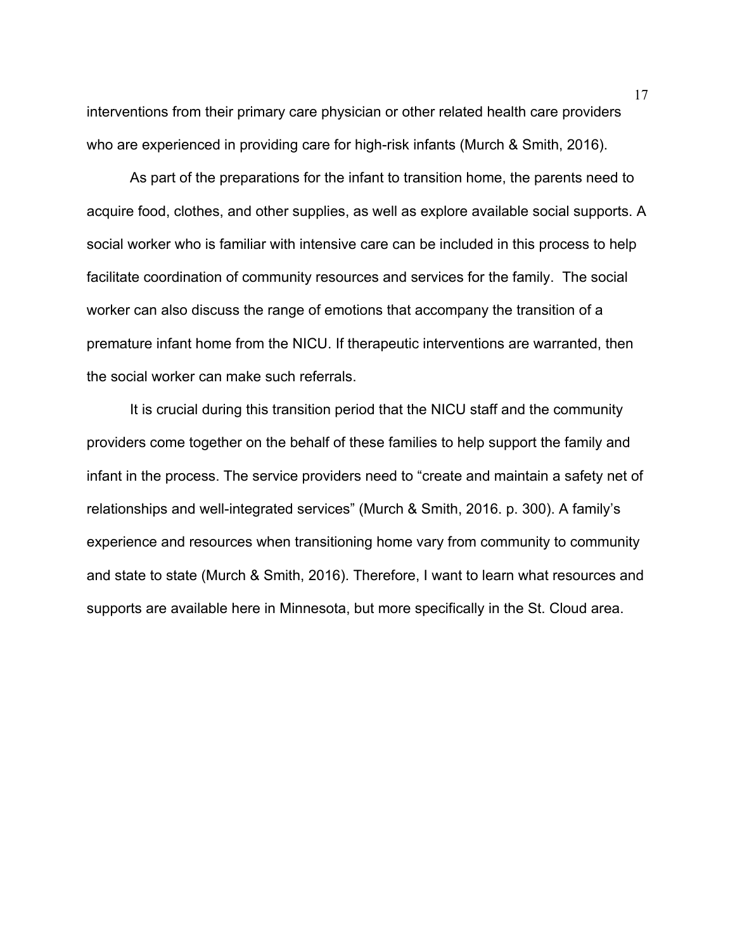interventions from their primary care physician or other related health care providers who are experienced in providing care for high-risk infants (Murch & Smith, 2016).

As part of the preparations for the infant to transition home, the parents need to acquire food, clothes, and other supplies, as well as explore available social supports. A social worker who is familiar with intensive care can be included in this process to help facilitate coordination of community resources and services for the family. The social worker can also discuss the range of emotions that accompany the transition of a premature infant home from the NICU. If therapeutic interventions are warranted, then the social worker can make such referrals.

It is crucial during this transition period that the NICU staff and the community providers come together on the behalf of these families to help support the family and infant in the process. The service providers need to "create and maintain a safety net of relationships and well-integrated services" (Murch & Smith, 2016. p. 300). A family's experience and resources when transitioning home vary from community to community and state to state (Murch & Smith, 2016). Therefore, I want to learn what resources and supports are available here in Minnesota, but more specifically in the St. Cloud area.

17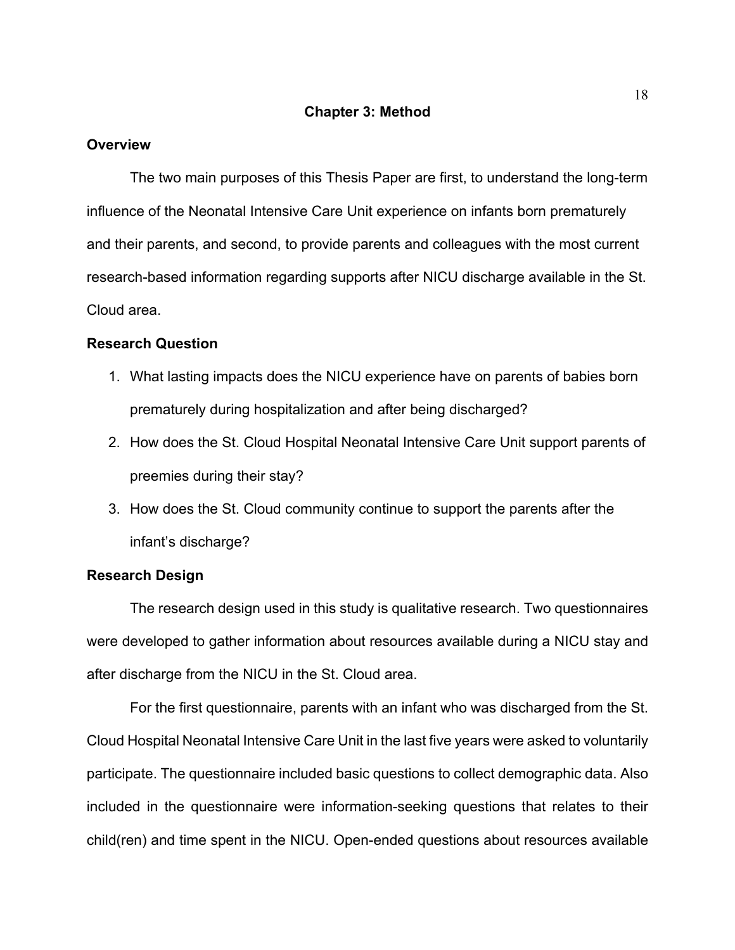### **Chapter 3: Method**

#### **Overview**

The two main purposes of this Thesis Paper are first, to understand the long-term influence of the Neonatal Intensive Care Unit experience on infants born prematurely and their parents, and second, to provide parents and colleagues with the most current research-based information regarding supports after NICU discharge available in the St. Cloud area.

### **Research Question**

- 1. What lasting impacts does the NICU experience have on parents of babies born prematurely during hospitalization and after being discharged?
- 2. How does the St. Cloud Hospital Neonatal Intensive Care Unit support parents of preemies during their stay?
- 3. How does the St. Cloud community continue to support the parents after the infant's discharge?

### **Research Design**

The research design used in this study is qualitative research. Two questionnaires were developed to gather information about resources available during a NICU stay and after discharge from the NICU in the St. Cloud area.

For the first questionnaire, parents with an infant who was discharged from the St. Cloud Hospital Neonatal Intensive Care Unit in the last five years were asked to voluntarily participate. The questionnaire included basic questions to collect demographic data. Also included in the questionnaire were information-seeking questions that relates to their child(ren) and time spent in the NICU. Open-ended questions about resources available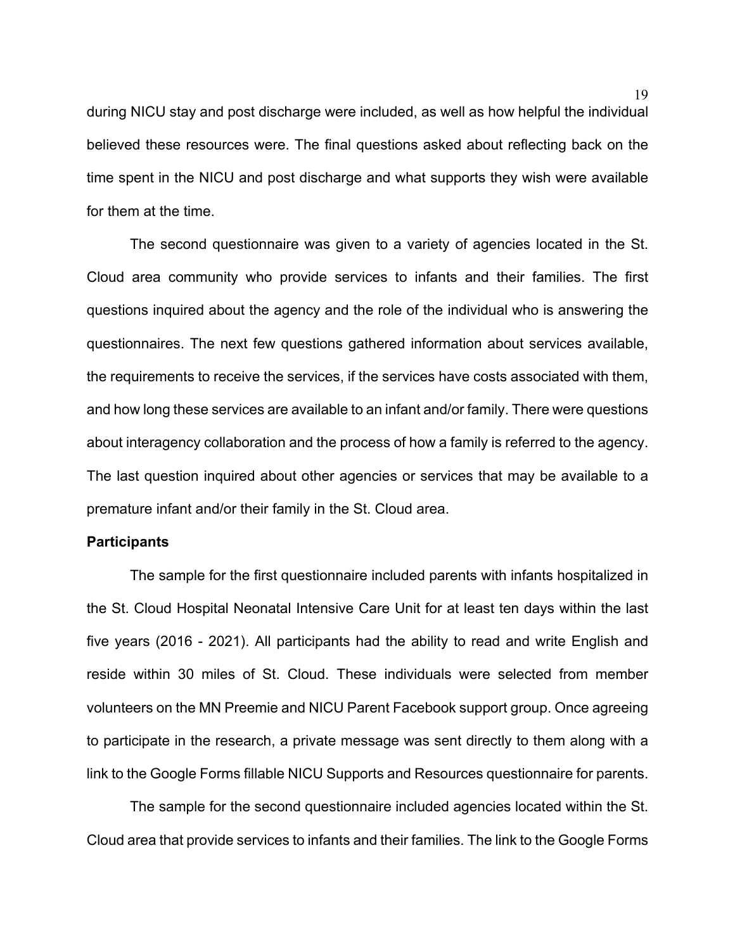during NICU stay and post discharge were included, as well as how helpful the individual believed these resources were. The final questions asked about reflecting back on the time spent in the NICU and post discharge and what supports they wish were available for them at the time.

The second questionnaire was given to a variety of agencies located in the St. Cloud area community who provide services to infants and their families. The first questions inquired about the agency and the role of the individual who is answering the questionnaires. The next few questions gathered information about services available, the requirements to receive the services, if the services have costs associated with them, and how long these services are available to an infant and/or family. There were questions about interagency collaboration and the process of how a family is referred to the agency. The last question inquired about other agencies or services that may be available to a premature infant and/or their family in the St. Cloud area.

### **Participants**

The sample for the first questionnaire included parents with infants hospitalized in the St. Cloud Hospital Neonatal Intensive Care Unit for at least ten days within the last five years (2016 - 2021). All participants had the ability to read and write English and reside within 30 miles of St. Cloud. These individuals were selected from member volunteers on the MN Preemie and NICU Parent Facebook support group. Once agreeing to participate in the research, a private message was sent directly to them along with a link to the Google Forms fillable NICU Supports and Resources questionnaire for parents.

The sample for the second questionnaire included agencies located within the St. Cloud area that provide services to infants and their families. The link to the Google Forms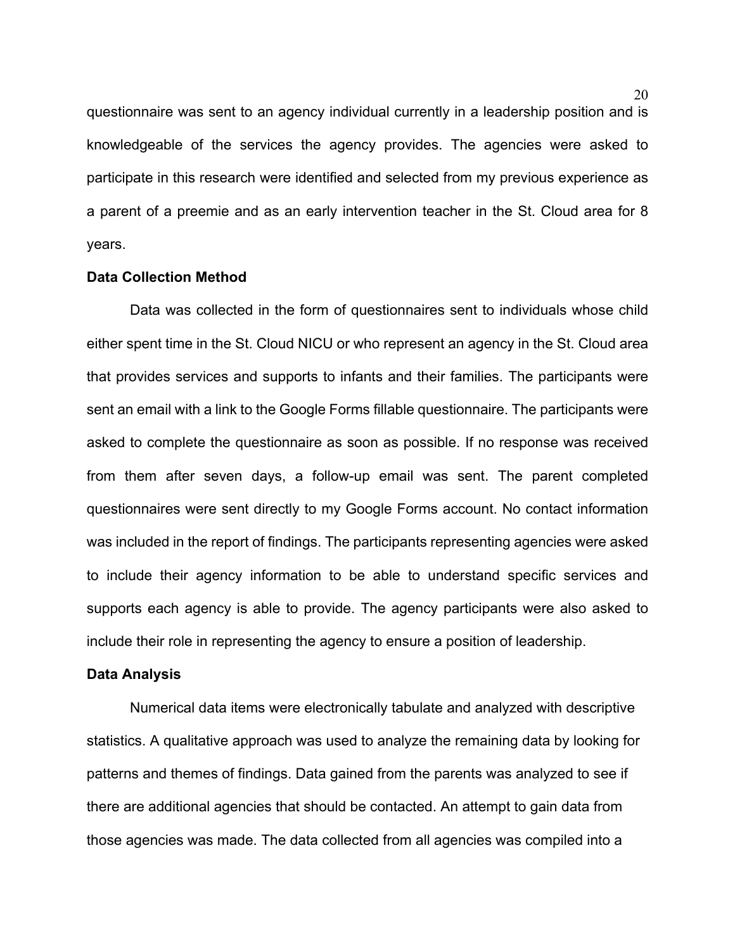questionnaire was sent to an agency individual currently in a leadership position and is knowledgeable of the services the agency provides. The agencies were asked to participate in this research were identified and selected from my previous experience as a parent of a preemie and as an early intervention teacher in the St. Cloud area for 8 years.

### **Data Collection Method**

Data was collected in the form of questionnaires sent to individuals whose child either spent time in the St. Cloud NICU or who represent an agency in the St. Cloud area that provides services and supports to infants and their families. The participants were sent an email with a link to the Google Forms fillable questionnaire. The participants were asked to complete the questionnaire as soon as possible. If no response was received from them after seven days, a follow-up email was sent. The parent completed questionnaires were sent directly to my Google Forms account. No contact information was included in the report of findings. The participants representing agencies were asked to include their agency information to be able to understand specific services and supports each agency is able to provide. The agency participants were also asked to include their role in representing the agency to ensure a position of leadership.

#### **Data Analysis**

Numerical data items were electronically tabulate and analyzed with descriptive statistics. A qualitative approach was used to analyze the remaining data by looking for patterns and themes of findings. Data gained from the parents was analyzed to see if there are additional agencies that should be contacted. An attempt to gain data from those agencies was made. The data collected from all agencies was compiled into a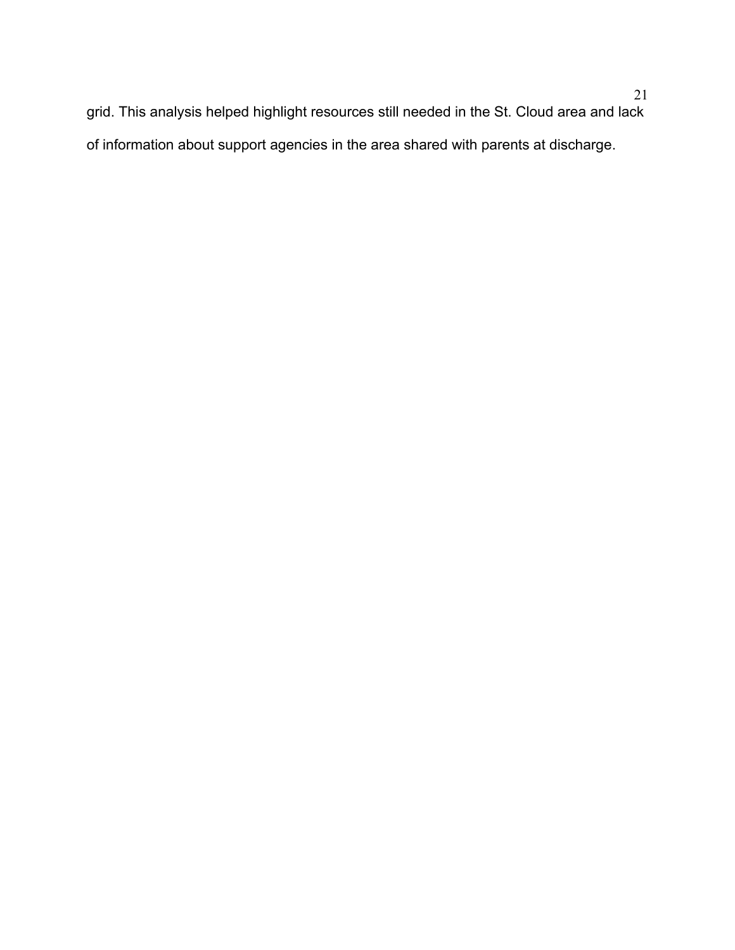grid. This analysis helped highlight resources still needed in the St. Cloud area and lack of information about support agencies in the area shared with parents at discharge.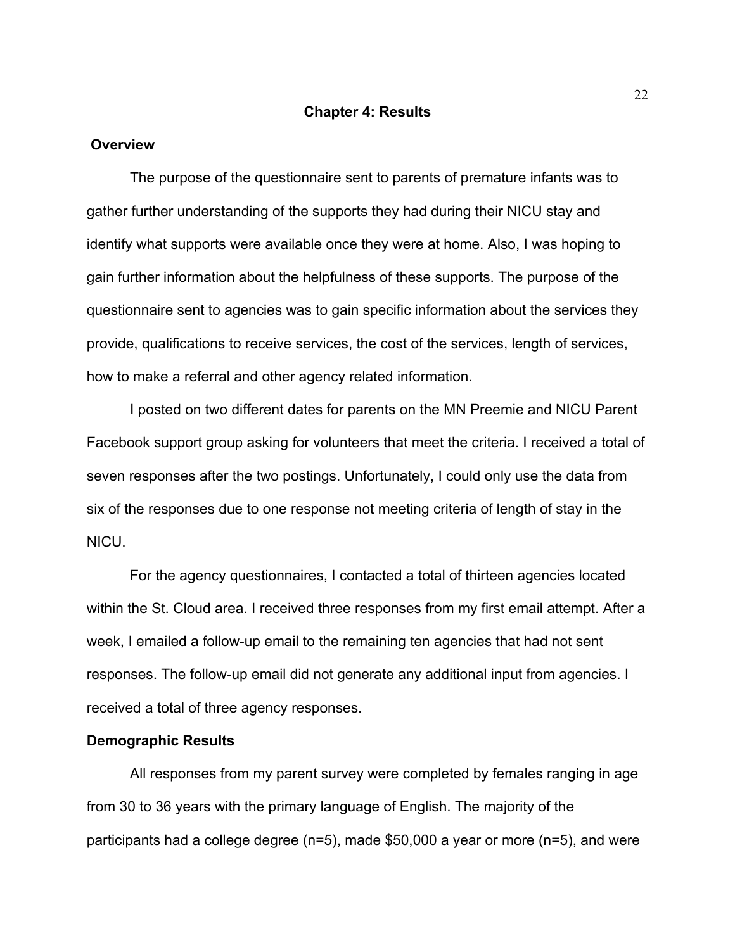#### **Chapter 4: Results**

#### **Overview**

The purpose of the questionnaire sent to parents of premature infants was to gather further understanding of the supports they had during their NICU stay and identify what supports were available once they were at home. Also, I was hoping to gain further information about the helpfulness of these supports. The purpose of the questionnaire sent to agencies was to gain specific information about the services they provide, qualifications to receive services, the cost of the services, length of services, how to make a referral and other agency related information.

I posted on two different dates for parents on the MN Preemie and NICU Parent Facebook support group asking for volunteers that meet the criteria. I received a total of seven responses after the two postings. Unfortunately, I could only use the data from six of the responses due to one response not meeting criteria of length of stay in the NICU.

For the agency questionnaires, I contacted a total of thirteen agencies located within the St. Cloud area. I received three responses from my first email attempt. After a week, I emailed a follow-up email to the remaining ten agencies that had not sent responses. The follow-up email did not generate any additional input from agencies. I received a total of three agency responses.

## **Demographic Results**

All responses from my parent survey were completed by females ranging in age from 30 to 36 years with the primary language of English. The majority of the participants had a college degree (n=5), made \$50,000 a year or more (n=5), and were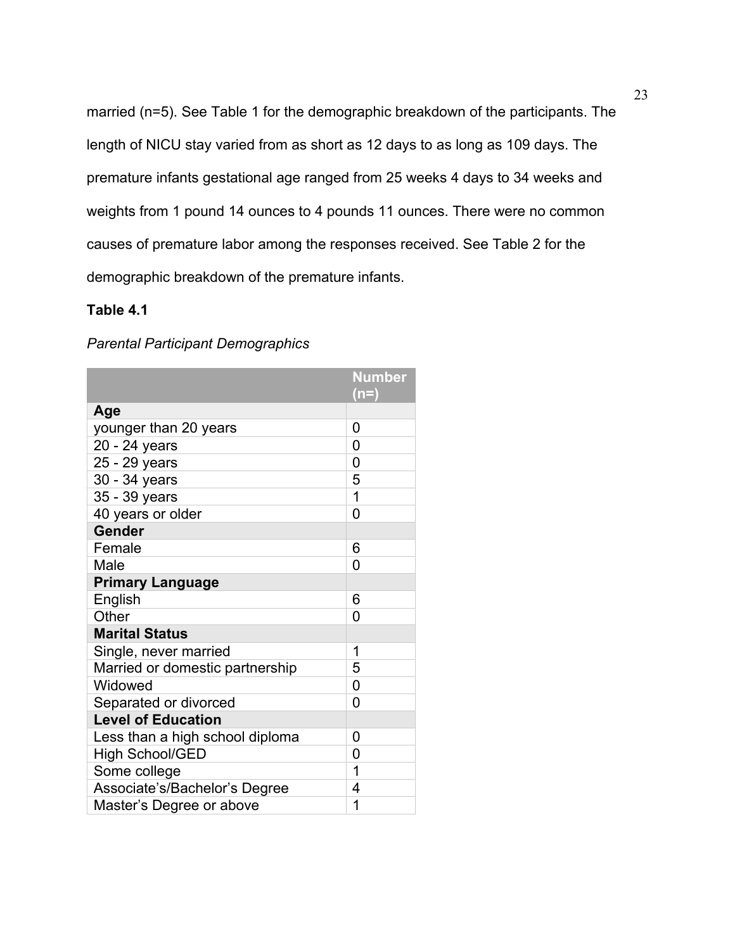married (n=5). See Table 1 for the demographic breakdown of the participants. The length of NICU stay varied from as short as 12 days to as long as 109 days. The premature infants gestational age ranged from 25 weeks 4 days to 34 weeks and weights from 1 pound 14 ounces to 4 pounds 11 ounces. There were no common causes of premature labor among the responses received. See Table 2 for the demographic breakdown of the premature infants.

## **Table 4.1**

## *Parental Participant Demographics*

|                                 | <b>Number</b> |
|---------------------------------|---------------|
|                                 | $(n=)$        |
| Age                             |               |
| younger than 20 years           | 0             |
| 20 - 24 years                   | 0             |
| 25 - 29 years                   | 0             |
| 30 - 34 years                   | 5             |
| 35 - 39 years                   | 1             |
| 40 years or older               | 0             |
| Gender                          |               |
| Female                          | 6             |
| Male                            | 0             |
| <b>Primary Language</b>         |               |
| English                         | 6             |
| Other                           | 0             |
| <b>Marital Status</b>           |               |
| Single, never married           | 1             |
| Married or domestic partnership | 5             |
| Widowed                         | 0             |
| Separated or divorced           | 0             |
| <b>Level of Education</b>       |               |
| Less than a high school diploma | 0             |
| <b>High School/GED</b>          | 0             |
| Some college                    | 1             |
| Associate's/Bachelor's Degree   | 4             |
| Master's Degree or above        | 1             |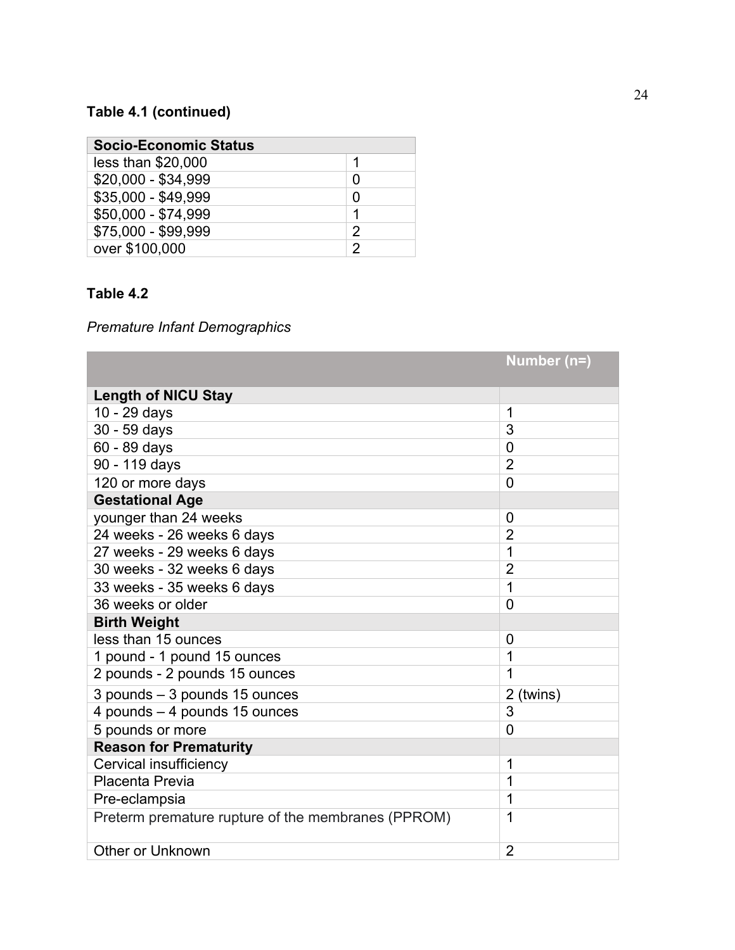## **Table 4.1 (continued)**

| <b>Socio-Economic Status</b> |   |  |  |
|------------------------------|---|--|--|
| less than \$20,000           |   |  |  |
| \$20,000 - \$34,999          | ი |  |  |
| \$35,000 - \$49,999          | Ⴖ |  |  |
| \$50,000 - \$74,999          | 1 |  |  |
| \$75,000 - \$99,999          | 2 |  |  |
| over \$100,000               | っ |  |  |

## **Table 4.2**

*Premature Infant Demographics*

|                                                    | Number (n=)    |
|----------------------------------------------------|----------------|
|                                                    |                |
| <b>Length of NICU Stay</b>                         |                |
| 10 - 29 days                                       | 1              |
| 30 - 59 days                                       | 3              |
| 60 - 89 days                                       | 0              |
| 90 - 119 days                                      | $\overline{2}$ |
| 120 or more days                                   | $\overline{0}$ |
| <b>Gestational Age</b>                             |                |
| younger than 24 weeks                              | 0              |
| 24 weeks - 26 weeks 6 days                         | $\overline{2}$ |
| 27 weeks - 29 weeks 6 days                         | 1              |
| 30 weeks - 32 weeks 6 days                         | $\overline{2}$ |
| 33 weeks - 35 weeks 6 days                         | 1              |
| 36 weeks or older                                  | 0              |
| <b>Birth Weight</b>                                |                |
| less than 15 ounces                                | 0              |
| 1 pound - 1 pound 15 ounces                        | 1              |
| 2 pounds - 2 pounds 15 ounces                      | 1              |
| 3 pounds - 3 pounds 15 ounces                      | 2 (twins)      |
| 4 pounds - 4 pounds 15 ounces                      | 3              |
| 5 pounds or more                                   | 0              |
| <b>Reason for Prematurity</b>                      |                |
| Cervical insufficiency                             | 1              |
| Placenta Previa                                    | 1              |
| Pre-eclampsia                                      | 1              |
| Preterm premature rupture of the membranes (PPROM) | 1              |
| Other or Unknown                                   | $\overline{2}$ |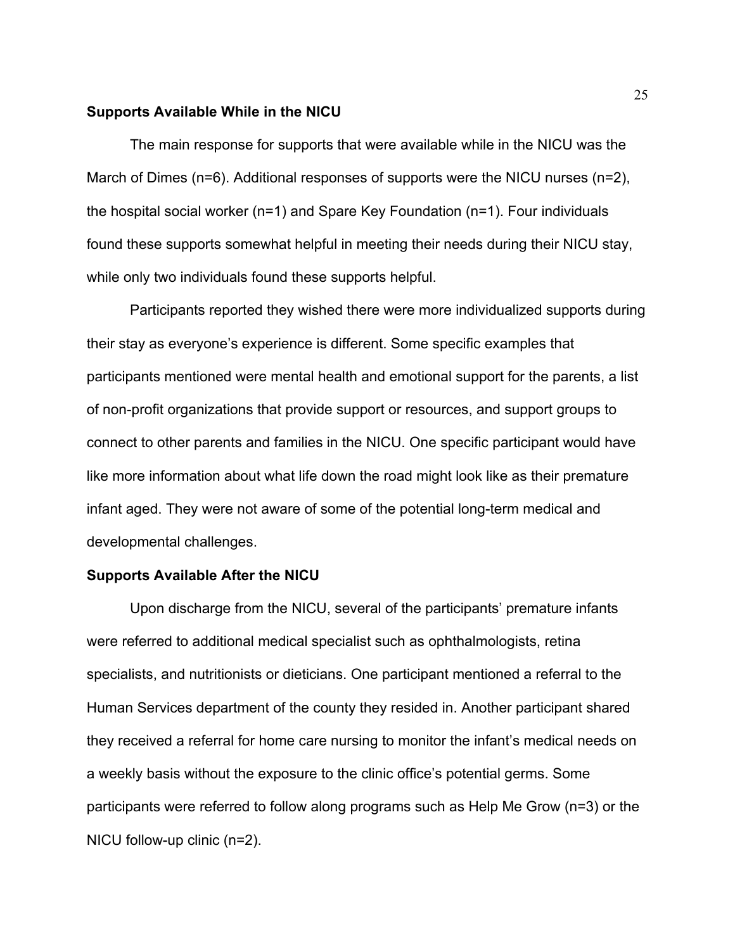### **Supports Available While in the NICU**

The main response for supports that were available while in the NICU was the March of Dimes (n=6). Additional responses of supports were the NICU nurses (n=2), the hospital social worker (n=1) and Spare Key Foundation (n=1). Four individuals found these supports somewhat helpful in meeting their needs during their NICU stay, while only two individuals found these supports helpful.

Participants reported they wished there were more individualized supports during their stay as everyone's experience is different. Some specific examples that participants mentioned were mental health and emotional support for the parents, a list of non-profit organizations that provide support or resources, and support groups to connect to other parents and families in the NICU. One specific participant would have like more information about what life down the road might look like as their premature infant aged. They were not aware of some of the potential long-term medical and developmental challenges.

### **Supports Available After the NICU**

Upon discharge from the NICU, several of the participants' premature infants were referred to additional medical specialist such as ophthalmologists, retina specialists, and nutritionists or dieticians. One participant mentioned a referral to the Human Services department of the county they resided in. Another participant shared they received a referral for home care nursing to monitor the infant's medical needs on a weekly basis without the exposure to the clinic office's potential germs. Some participants were referred to follow along programs such as Help Me Grow (n=3) or the NICU follow-up clinic (n=2).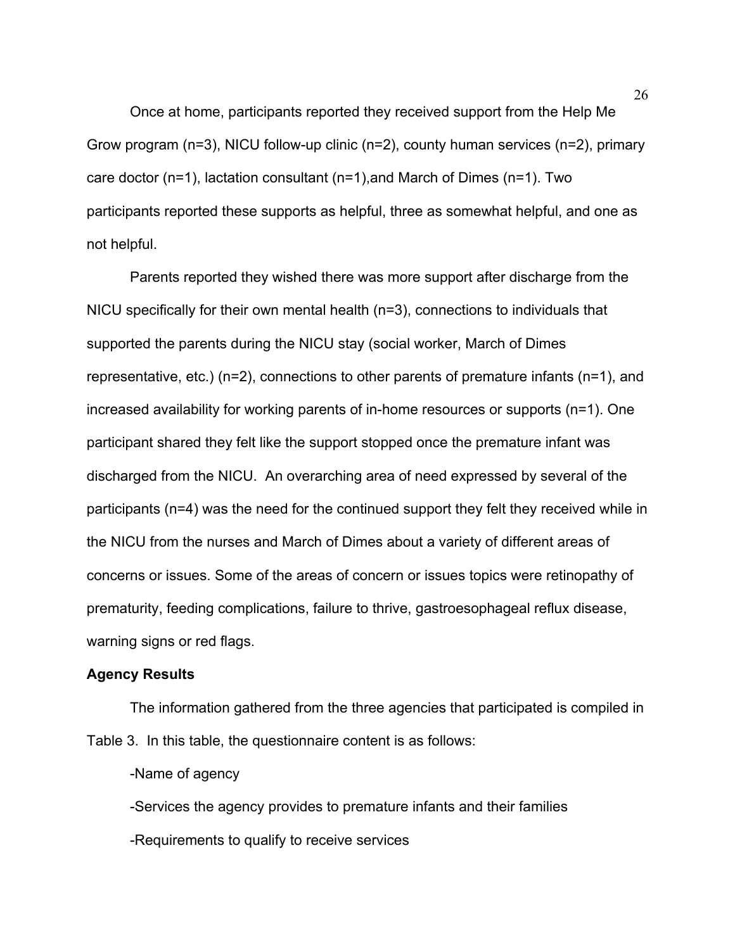Once at home, participants reported they received support from the Help Me Grow program (n=3), NICU follow-up clinic (n=2), county human services (n=2), primary care doctor (n=1), lactation consultant (n=1),and March of Dimes (n=1). Two participants reported these supports as helpful, three as somewhat helpful, and one as not helpful.

Parents reported they wished there was more support after discharge from the NICU specifically for their own mental health (n=3), connections to individuals that supported the parents during the NICU stay (social worker, March of Dimes representative, etc.) (n=2), connections to other parents of premature infants (n=1), and increased availability for working parents of in-home resources or supports (n=1). One participant shared they felt like the support stopped once the premature infant was discharged from the NICU. An overarching area of need expressed by several of the participants (n=4) was the need for the continued support they felt they received while in the NICU from the nurses and March of Dimes about a variety of different areas of concerns or issues. Some of the areas of concern or issues topics were retinopathy of prematurity, feeding complications, failure to thrive, gastroesophageal reflux disease, warning signs or red flags.

### **Agency Results**

The information gathered from the three agencies that participated is compiled in Table 3. In this table, the questionnaire content is as follows:

-Name of agency

-Services the agency provides to premature infants and their families

-Requirements to qualify to receive services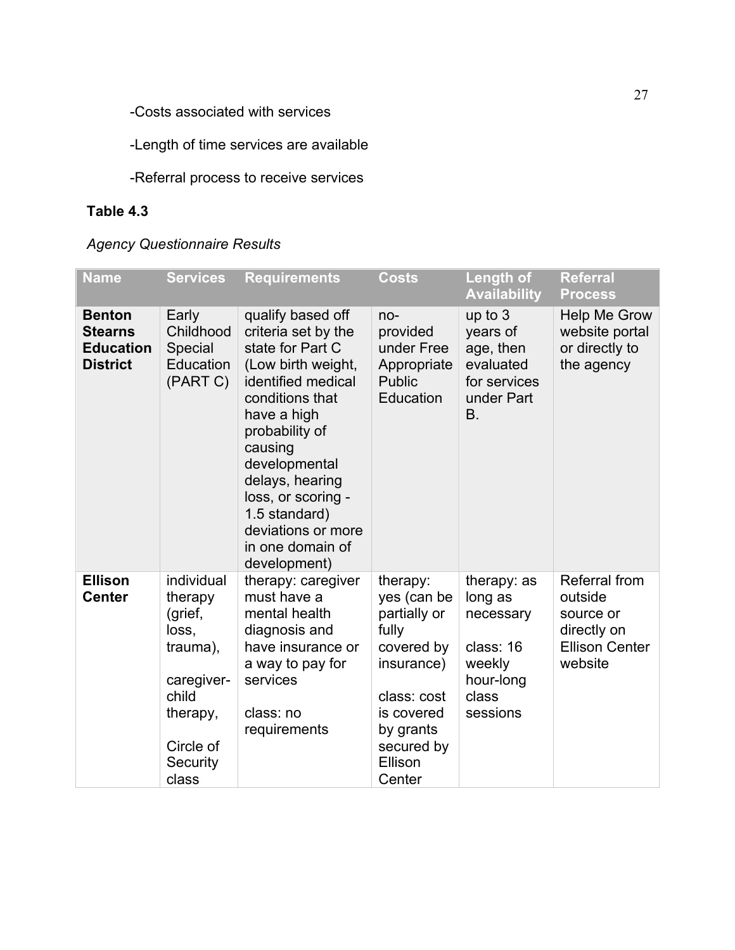-Costs associated with services

-Length of time services are available

-Referral process to receive services

## **Table 4.3**

*Agency Questionnaire Results*

| <b>Name</b>                                                            | <b>Services</b>                                                                                                            | <b>Requirements</b>                                                                                                                                                                                                                                                                                          | <b>Costs</b>                                                                                                                                              | <b>Length of</b><br><b>Availability</b>                                                      | <b>Referral</b><br><b>Process</b>                                                               |
|------------------------------------------------------------------------|----------------------------------------------------------------------------------------------------------------------------|--------------------------------------------------------------------------------------------------------------------------------------------------------------------------------------------------------------------------------------------------------------------------------------------------------------|-----------------------------------------------------------------------------------------------------------------------------------------------------------|----------------------------------------------------------------------------------------------|-------------------------------------------------------------------------------------------------|
| <b>Benton</b><br><b>Stearns</b><br><b>Education</b><br><b>District</b> | Early<br>Childhood<br>Special<br>Education<br>(PART C)                                                                     | qualify based off<br>criteria set by the<br>state for Part C<br>(Low birth weight,<br>identified medical<br>conditions that<br>have a high<br>probability of<br>causing<br>developmental<br>delays, hearing<br>loss, or scoring -<br>1.5 standard)<br>deviations or more<br>in one domain of<br>development) | $no-$<br>provided<br>under Free<br>Appropriate<br><b>Public</b><br>Education                                                                              | up to $3$<br>years of<br>age, then<br>evaluated<br>for services<br>under Part<br><b>B.</b>   | <b>Help Me Grow</b><br>website portal<br>or directly to<br>the agency                           |
| <b>Ellison</b><br><b>Center</b>                                        | individual<br>therapy<br>(grief,<br>loss,<br>trauma),<br>caregiver-<br>child<br>therapy,<br>Circle of<br>Security<br>class | therapy: caregiver<br>must have a<br>mental health<br>diagnosis and<br>have insurance or<br>a way to pay for<br>services<br>class: no<br>requirements                                                                                                                                                        | therapy:<br>yes (can be<br>partially or<br>fully<br>covered by<br>insurance)<br>class: cost<br>is covered<br>by grants<br>secured by<br>Ellison<br>Center | therapy: as<br>long as<br>necessary<br>class: 16<br>weekly<br>hour-long<br>class<br>sessions | <b>Referral from</b><br>outside<br>source or<br>directly on<br><b>Ellison Center</b><br>website |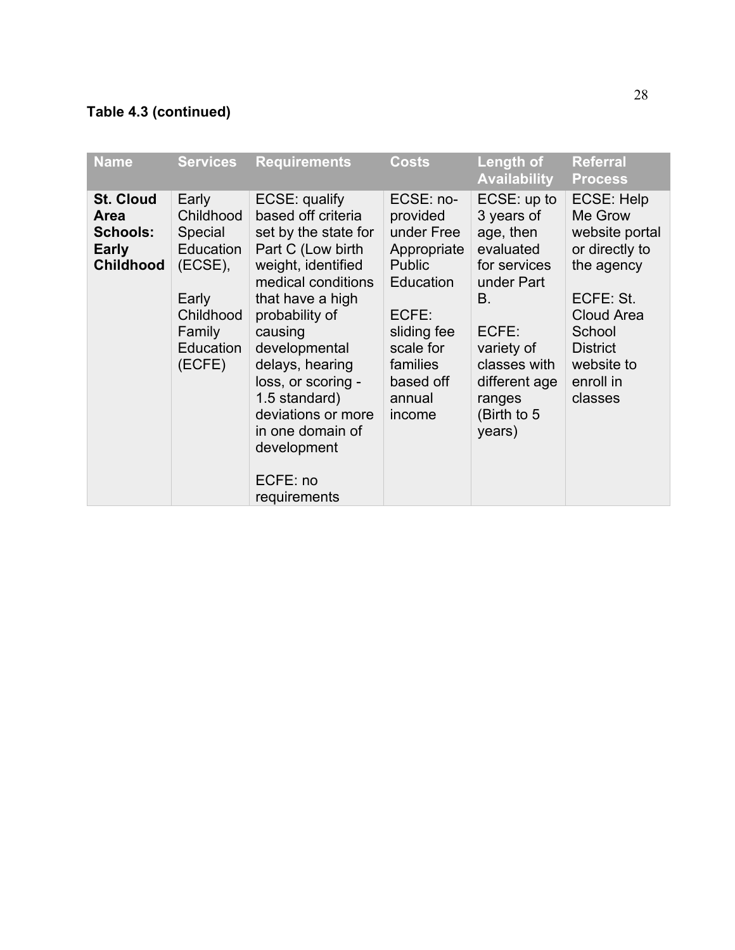## **Table 4.3 (continued)**

| <b>Name</b>                                                                            | <b>Services</b>                                                                                              | <b>Requirements</b>                                                                                                                                                                                                                                                                                                                           | <b>Costs</b>                                                                                                                                                       | Length of<br><b>Availability</b>                                                                                                                                                   | <b>Referral</b><br><b>Process</b>                                                                                                                                            |
|----------------------------------------------------------------------------------------|--------------------------------------------------------------------------------------------------------------|-----------------------------------------------------------------------------------------------------------------------------------------------------------------------------------------------------------------------------------------------------------------------------------------------------------------------------------------------|--------------------------------------------------------------------------------------------------------------------------------------------------------------------|------------------------------------------------------------------------------------------------------------------------------------------------------------------------------------|------------------------------------------------------------------------------------------------------------------------------------------------------------------------------|
| <b>St. Cloud</b><br><b>Area</b><br><b>Schools:</b><br><b>Early</b><br><b>Childhood</b> | Early<br>Childhood<br>Special<br>Education<br>(ECSE),<br>Early<br>Childhood<br>Family<br>Education<br>(ECFE) | ECSE: qualify<br>based off criteria<br>set by the state for<br>Part C (Low birth<br>weight, identified<br>medical conditions<br>that have a high<br>probability of<br>causing<br>developmental<br>delays, hearing<br>loss, or scoring -<br>1.5 standard)<br>deviations or more<br>in one domain of<br>development<br>ECFE: no<br>requirements | ECSE: no-<br>provided<br>under Free<br>Appropriate<br><b>Public</b><br>Education<br>ECFE:<br>sliding fee<br>scale for<br>families<br>based off<br>annual<br>income | ECSE: up to<br>3 years of<br>age, then<br>evaluated<br>for services<br>under Part<br>В.<br>ECFE:<br>variety of<br>classes with<br>different age<br>ranges<br>(Birth to 5<br>years) | ECSE: Help<br>Me Grow<br>website portal<br>or directly to<br>the agency<br>ECFE: St.<br><b>Cloud Area</b><br>School<br><b>District</b><br>website to<br>enroll in<br>classes |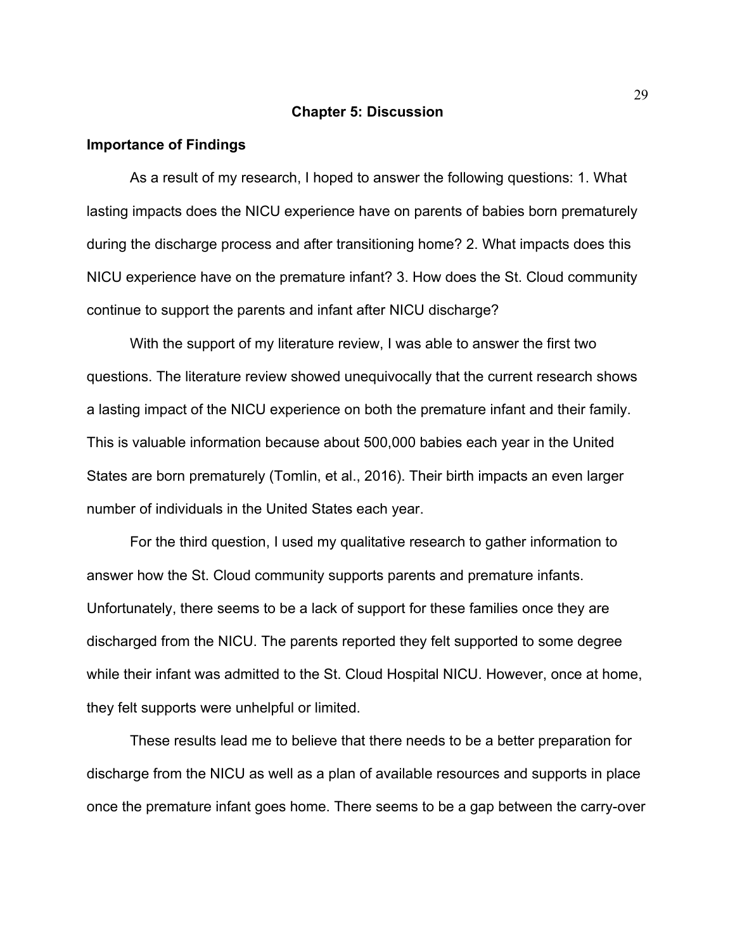#### **Chapter 5: Discussion**

#### **Importance of Findings**

As a result of my research, I hoped to answer the following questions: 1. What lasting impacts does the NICU experience have on parents of babies born prematurely during the discharge process and after transitioning home? 2. What impacts does this NICU experience have on the premature infant? 3. How does the St. Cloud community continue to support the parents and infant after NICU discharge?

With the support of my literature review, I was able to answer the first two questions. The literature review showed unequivocally that the current research shows a lasting impact of the NICU experience on both the premature infant and their family. This is valuable information because about 500,000 babies each year in the United States are born prematurely (Tomlin, et al., 2016). Their birth impacts an even larger number of individuals in the United States each year.

For the third question, I used my qualitative research to gather information to answer how the St. Cloud community supports parents and premature infants. Unfortunately, there seems to be a lack of support for these families once they are discharged from the NICU. The parents reported they felt supported to some degree while their infant was admitted to the St. Cloud Hospital NICU. However, once at home, they felt supports were unhelpful or limited.

These results lead me to believe that there needs to be a better preparation for discharge from the NICU as well as a plan of available resources and supports in place once the premature infant goes home. There seems to be a gap between the carry-over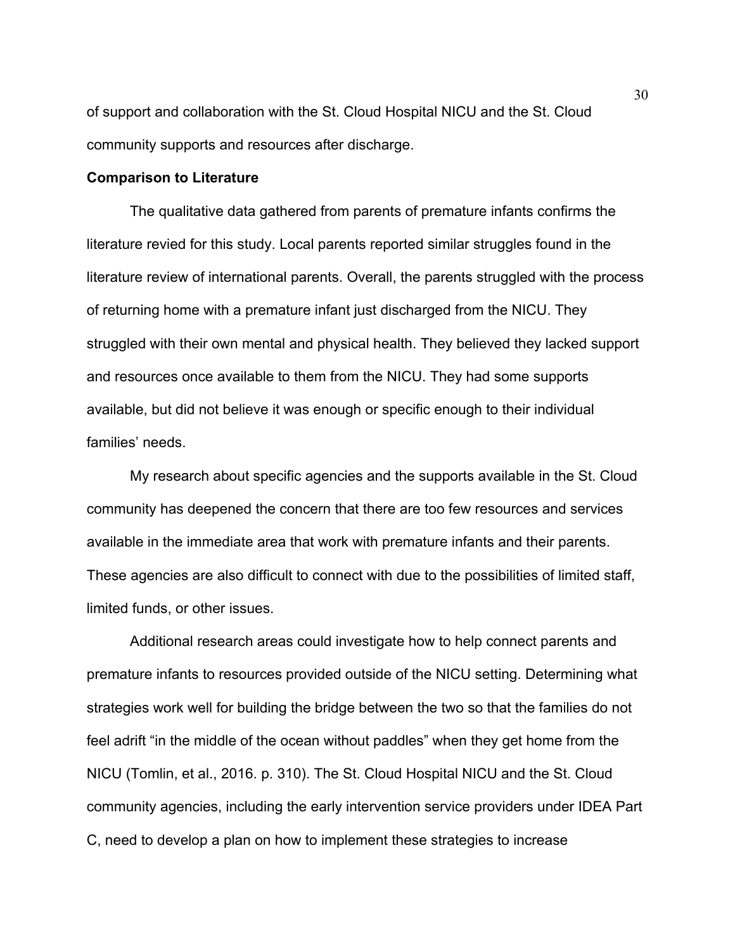of support and collaboration with the St. Cloud Hospital NICU and the St. Cloud community supports and resources after discharge.

#### **Comparison to Literature**

The qualitative data gathered from parents of premature infants confirms the literature revied for this study. Local parents reported similar struggles found in the literature review of international parents. Overall, the parents struggled with the process of returning home with a premature infant just discharged from the NICU. They struggled with their own mental and physical health. They believed they lacked support and resources once available to them from the NICU. They had some supports available, but did not believe it was enough or specific enough to their individual families' needs.

My research about specific agencies and the supports available in the St. Cloud community has deepened the concern that there are too few resources and services available in the immediate area that work with premature infants and their parents. These agencies are also difficult to connect with due to the possibilities of limited staff, limited funds, or other issues.

Additional research areas could investigate how to help connect parents and premature infants to resources provided outside of the NICU setting. Determining what strategies work well for building the bridge between the two so that the families do not feel adrift "in the middle of the ocean without paddles" when they get home from the NICU (Tomlin, et al., 2016. p. 310). The St. Cloud Hospital NICU and the St. Cloud community agencies, including the early intervention service providers under IDEA Part C, need to develop a plan on how to implement these strategies to increase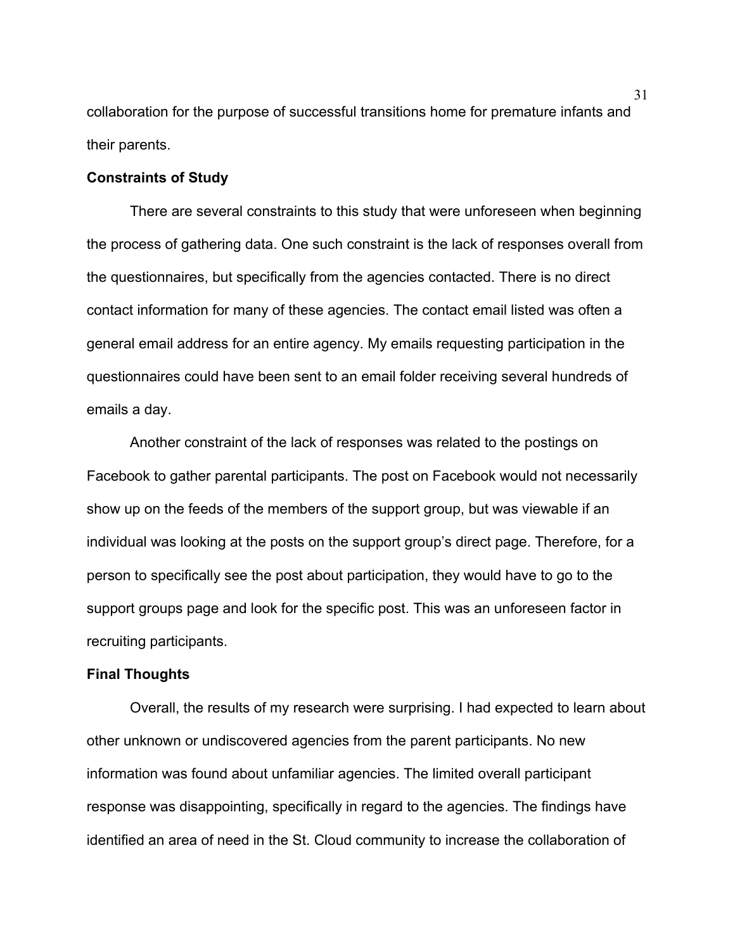collaboration for the purpose of successful transitions home for premature infants and their parents.

### **Constraints of Study**

There are several constraints to this study that were unforeseen when beginning the process of gathering data. One such constraint is the lack of responses overall from the questionnaires, but specifically from the agencies contacted. There is no direct contact information for many of these agencies. The contact email listed was often a general email address for an entire agency. My emails requesting participation in the questionnaires could have been sent to an email folder receiving several hundreds of emails a day.

Another constraint of the lack of responses was related to the postings on Facebook to gather parental participants. The post on Facebook would not necessarily show up on the feeds of the members of the support group, but was viewable if an individual was looking at the posts on the support group's direct page. Therefore, for a person to specifically see the post about participation, they would have to go to the support groups page and look for the specific post. This was an unforeseen factor in recruiting participants.

#### **Final Thoughts**

Overall, the results of my research were surprising. I had expected to learn about other unknown or undiscovered agencies from the parent participants. No new information was found about unfamiliar agencies. The limited overall participant response was disappointing, specifically in regard to the agencies. The findings have identified an area of need in the St. Cloud community to increase the collaboration of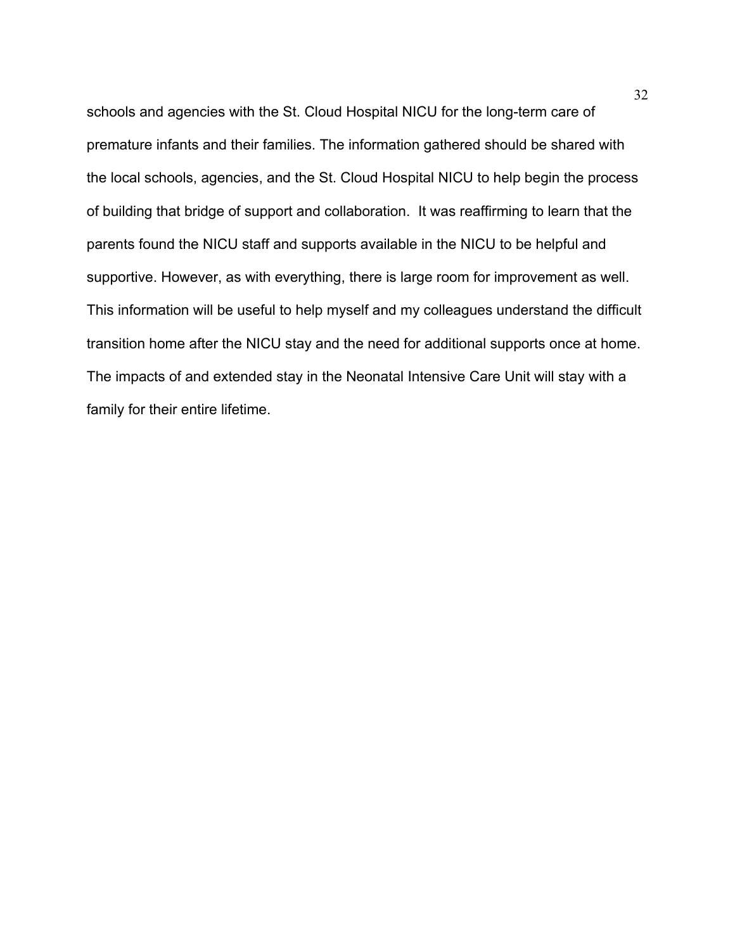schools and agencies with the St. Cloud Hospital NICU for the long-term care of premature infants and their families. The information gathered should be shared with the local schools, agencies, and the St. Cloud Hospital NICU to help begin the process of building that bridge of support and collaboration. It was reaffirming to learn that the parents found the NICU staff and supports available in the NICU to be helpful and supportive. However, as with everything, there is large room for improvement as well. This information will be useful to help myself and my colleagues understand the difficult transition home after the NICU stay and the need for additional supports once at home. The impacts of and extended stay in the Neonatal Intensive Care Unit will stay with a family for their entire lifetime.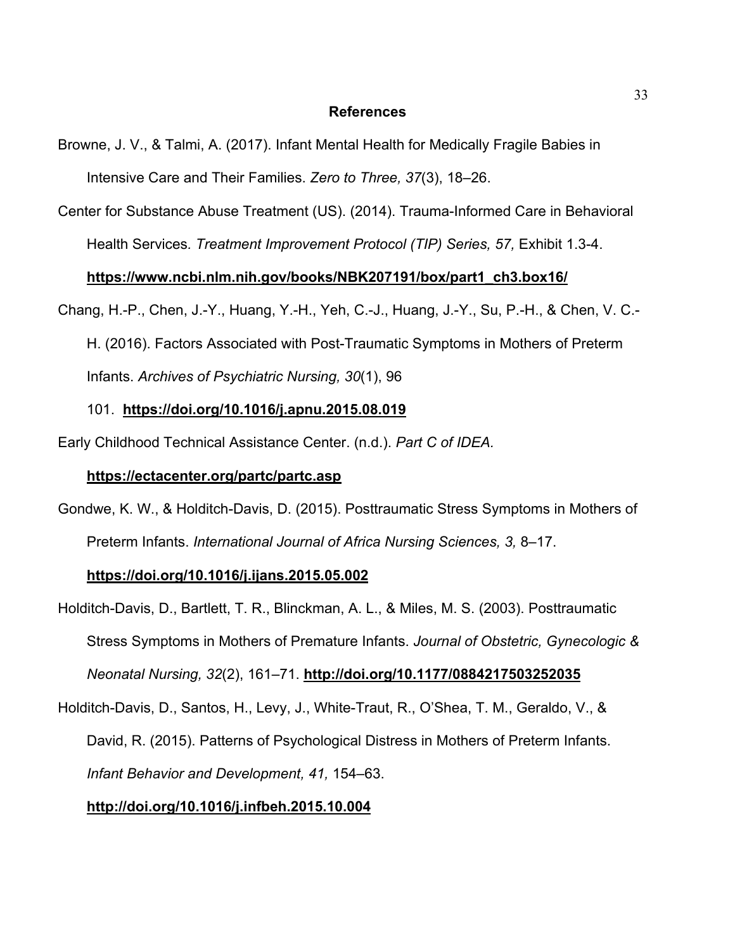### **References**

- Browne, J. V., & Talmi, A. (2017). Infant Mental Health for Medically Fragile Babies in Intensive Care and Their Families. *Zero to Three, 37*(3), 18–26.
- Center for Substance Abuse Treatment (US). (2014). Trauma-Informed Care in Behavioral Health Services*. Treatment Improvement Protocol (TIP) Series, 57,* Exhibit 1.3-4.

## **https://www.ncbi.nlm.nih.gov/books/NBK207191/box/part1\_ch3.box16/**

Chang, H.-P., Chen, J.-Y., Huang, Y.-H., Yeh, C.-J., Huang, J.-Y., Su, P.-H., & Chen, V. C.-

H. (2016). Factors Associated with Post-Traumatic Symptoms in Mothers of Preterm Infants. *Archives of Psychiatric Nursing, 30*(1), 96

### 101. **https://doi.org/10.1016/j.apnu.2015.08.019**

Early Childhood Technical Assistance Center. (n.d.). *Part C of IDEA.* 

### **https://ectacenter.org/partc/partc.asp**

Gondwe, K. W., & Holditch-Davis, D. (2015). Posttraumatic Stress Symptoms in Mothers of Preterm Infants. *International Journal of Africa Nursing Sciences, 3,* 8–17.

## **https://doi.org/10.1016/j.ijans.2015.05.002**

- Holditch-Davis, D., Bartlett, T. R., Blinckman, A. L., & Miles, M. S. (2003). Posttraumatic Stress Symptoms in Mothers of Premature Infants. *Journal of Obstetric, Gynecologic & Neonatal Nursing, 32*(2), 161–71. **http://doi.org/10.1177/0884217503252035**
- Holditch-Davis, D., Santos, H., Levy, J., White-Traut, R., O'Shea, T. M., Geraldo, V., & David, R. (2015). Patterns of Psychological Distress in Mothers of Preterm Infants. *Infant Behavior and Development, 41,* 154–63.

### **http://doi.org/10.1016/j.infbeh.2015.10.004**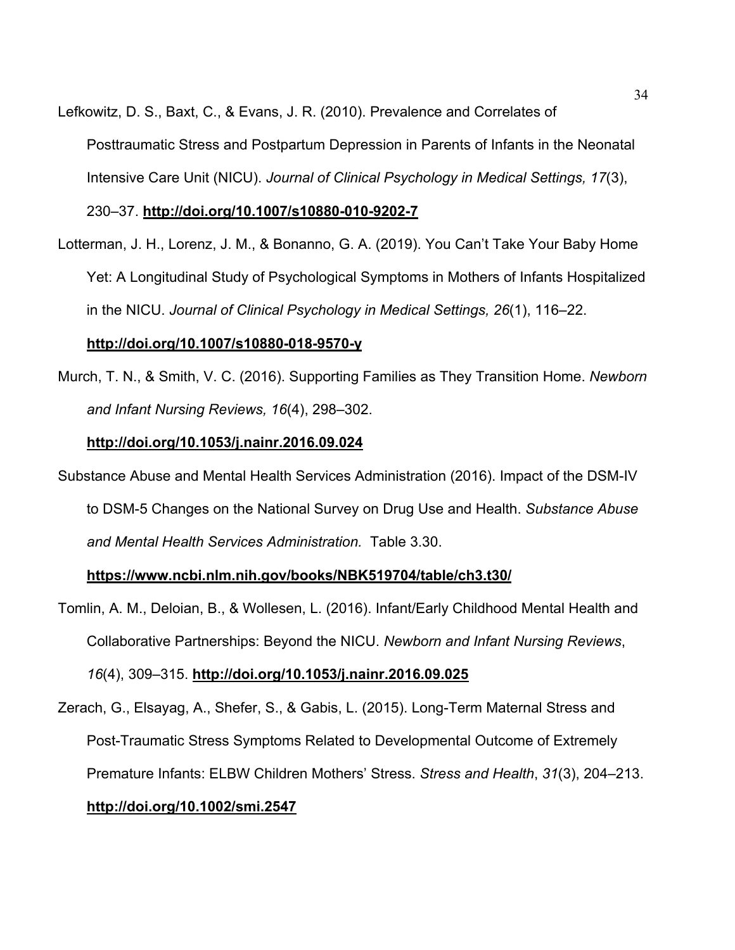Lefkowitz, D. S., Baxt, C., & Evans, J. R. (2010). Prevalence and Correlates of Posttraumatic Stress and Postpartum Depression in Parents of Infants in the Neonatal Intensive Care Unit (NICU). *Journal of Clinical Psychology in Medical Settings, 17*(3),

230–37. **http://doi.org/10.1007/s10880-010-9202-7**

Lotterman, J. H., Lorenz, J. M., & Bonanno, G. A. (2019). You Can't Take Your Baby Home Yet: A Longitudinal Study of Psychological Symptoms in Mothers of Infants Hospitalized in the NICU. *Journal of Clinical Psychology in Medical Settings, 26*(1), 116–22.

## **http://doi.org/10.1007/s10880-018-9570-y**

Murch, T. N., & Smith, V. C. (2016). Supporting Families as They Transition Home. *Newborn and Infant Nursing Reviews, 16*(4), 298–302.

## **http://doi.org/10.1053/j.nainr.2016.09.024**

Substance Abuse and Mental Health Services Administration (2016). Impact of the DSM-IV to DSM-5 Changes on the National Survey on Drug Use and Health. *Substance Abuse and Mental Health Services Administration.* Table 3.30.

## **https://www.ncbi.nlm.nih.gov/books/NBK519704/table/ch3.t30/**

- Tomlin, A. M., Deloian, B., & Wollesen, L. (2016). Infant/Early Childhood Mental Health and Collaborative Partnerships: Beyond the NICU. *Newborn and Infant Nursing Reviews*, *16*(4), 309–315. **http://doi.org/10.1053/j.nainr.2016.09.025**
- Zerach, G., Elsayag, A., Shefer, S., & Gabis, L. (2015). Long-Term Maternal Stress and Post-Traumatic Stress Symptoms Related to Developmental Outcome of Extremely Premature Infants: ELBW Children Mothers' Stress. *Stress and Health*, *31*(3), 204–213. **http://doi.org/10.1002/smi.2547**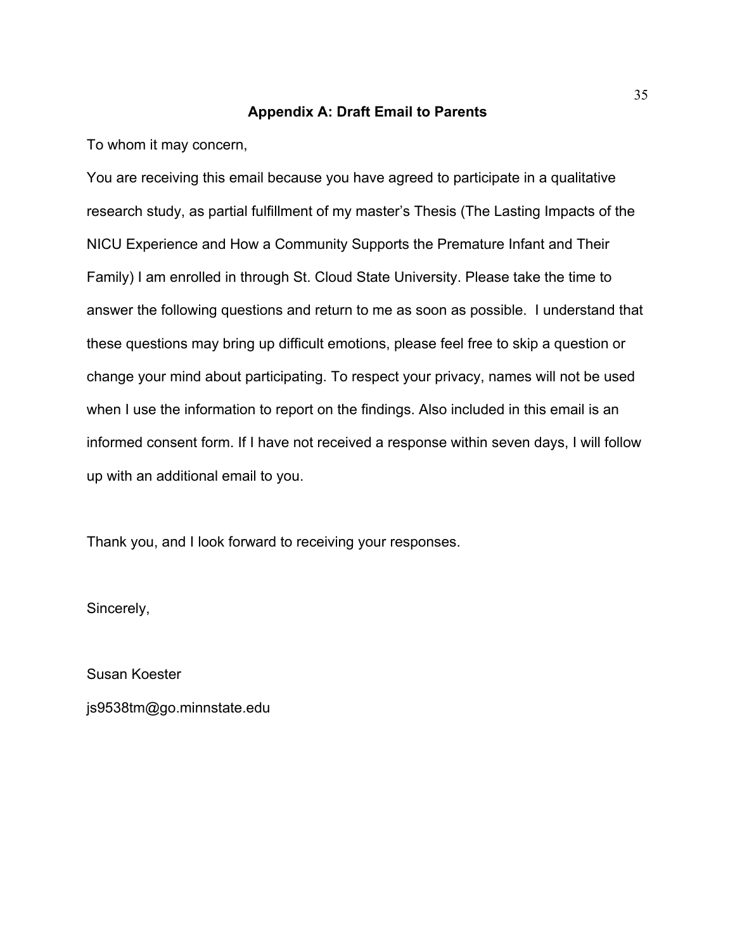### **Appendix A: Draft Email to Parents**

To whom it may concern,

You are receiving this email because you have agreed to participate in a qualitative research study, as partial fulfillment of my master's Thesis (The Lasting Impacts of the NICU Experience and How a Community Supports the Premature Infant and Their Family) I am enrolled in through St. Cloud State University. Please take the time to answer the following questions and return to me as soon as possible. I understand that these questions may bring up difficult emotions, please feel free to skip a question or change your mind about participating. To respect your privacy, names will not be used when I use the information to report on the findings. Also included in this email is an informed consent form. If I have not received a response within seven days, I will follow up with an additional email to you.

Thank you, and I look forward to receiving your responses.

Sincerely,

Susan Koester js9538tm@go.minnstate.edu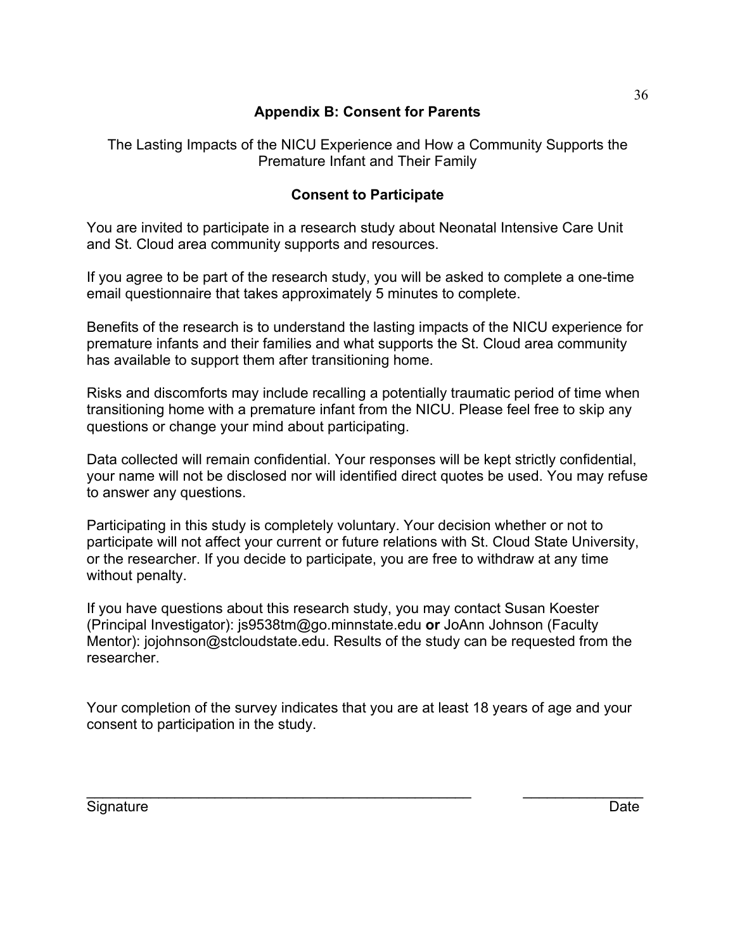## **Appendix B: Consent for Parents**

The Lasting Impacts of the NICU Experience and How a Community Supports the Premature Infant and Their Family

## **Consent to Participate**

You are invited to participate in a research study about Neonatal Intensive Care Unit and St. Cloud area community supports and resources.

If you agree to be part of the research study, you will be asked to complete a one-time email questionnaire that takes approximately 5 minutes to complete.

Benefits of the research is to understand the lasting impacts of the NICU experience for premature infants and their families and what supports the St. Cloud area community has available to support them after transitioning home.

Risks and discomforts may include recalling a potentially traumatic period of time when transitioning home with a premature infant from the NICU. Please feel free to skip any questions or change your mind about participating.

Data collected will remain confidential. Your responses will be kept strictly confidential, your name will not be disclosed nor will identified direct quotes be used. You may refuse to answer any questions.

Participating in this study is completely voluntary. Your decision whether or not to participate will not affect your current or future relations with St. Cloud State University, or the researcher. If you decide to participate, you are free to withdraw at any time without penalty.

If you have questions about this research study, you may contact Susan Koester (Principal Investigator): js9538tm@go.minnstate.edu **or** JoAnn Johnson (Faculty Mentor): jojohnson@stcloudstate.edu. Results of the study can be requested from the researcher.

Your completion of the survey indicates that you are at least 18 years of age and your consent to participation in the study.

\_\_\_\_\_\_\_\_\_\_\_\_\_\_\_\_\_\_\_\_\_\_\_\_\_\_\_\_\_\_\_\_\_\_\_\_\_\_\_\_\_\_\_\_\_\_\_\_ \_\_\_\_\_\_\_\_\_\_\_\_\_\_\_

36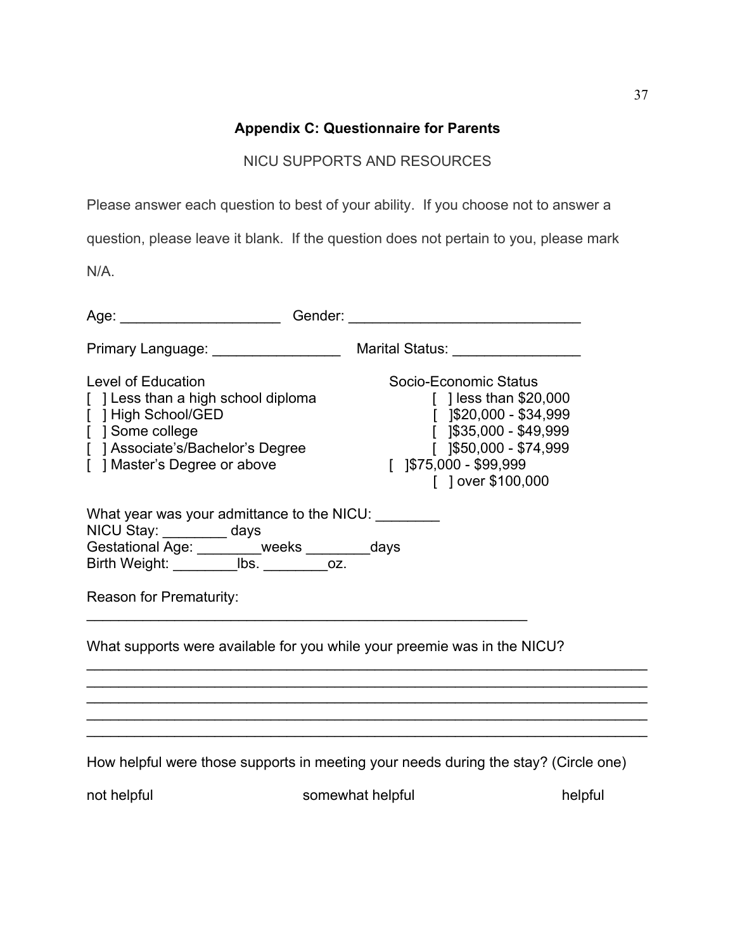## **Appendix C: Questionnaire for Parents**

## NICU SUPPORTS AND RESOURCES

Please answer each question to best of your ability. If you choose not to answer a

question, please leave it blank. If the question does not pertain to you, please mark

N/A.

| Level of Education<br>[ ] Less than a high school diploma<br>[ ] High School/GED<br>[ ] Some college<br>[ ] Associate's/Bachelor's Degree<br>[ ] Master's Degree or above                             | Socio-Economic Status<br>$[$ ] less than \$20,000<br>$[$ 1\$20,000 - \$34,999<br>$[$ 1\$35,000 - \$49,999<br>$[$ 1\$50,000 - \$74,999<br>$[$ 1\$75,000 - \$99,999<br>[ ] over \$100,000 |  |  |  |
|-------------------------------------------------------------------------------------------------------------------------------------------------------------------------------------------------------|-----------------------------------------------------------------------------------------------------------------------------------------------------------------------------------------|--|--|--|
| What year was your admittance to the NICU: \\end{math}<br>NICU Stay: _________ days<br>Gestational Age: ______weeks _______days<br>Birth Weight: _________bs. _________oz.<br>Reason for Prematurity: |                                                                                                                                                                                         |  |  |  |
|                                                                                                                                                                                                       | What supports were available for you while your preemie was in the NICU?                                                                                                                |  |  |  |
|                                                                                                                                                                                                       |                                                                                                                                                                                         |  |  |  |
|                                                                                                                                                                                                       |                                                                                                                                                                                         |  |  |  |
|                                                                                                                                                                                                       |                                                                                                                                                                                         |  |  |  |
|                                                                                                                                                                                                       | How helpful were those supports in meeting your needs during the stay? (Circle one)                                                                                                     |  |  |  |

not helpful somewhat helpful helpful helpful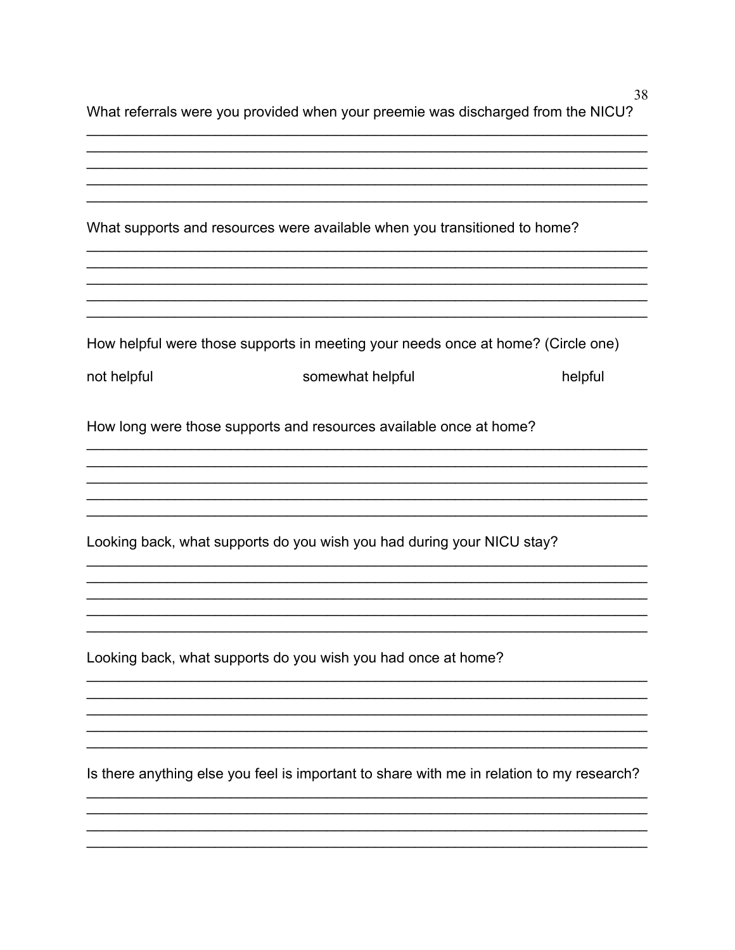|             | What referrals were you provided when your preemie was discharged from the NICU?                     | 38      |
|-------------|------------------------------------------------------------------------------------------------------|---------|
|             | What supports and resources were available when you transitioned to home?                            |         |
| not helpful | How helpful were those supports in meeting your needs once at home? (Circle one)<br>somewhat helpful | helpful |
|             | How long were those supports and resources available once at home?                                   |         |
|             | Looking back, what supports do you wish you had during your NICU stay?                               |         |
|             | Looking back, what supports do you wish you had once at home?                                        |         |
|             | Is there anything else you feel is important to share with me in relation to my research?            |         |
|             |                                                                                                      |         |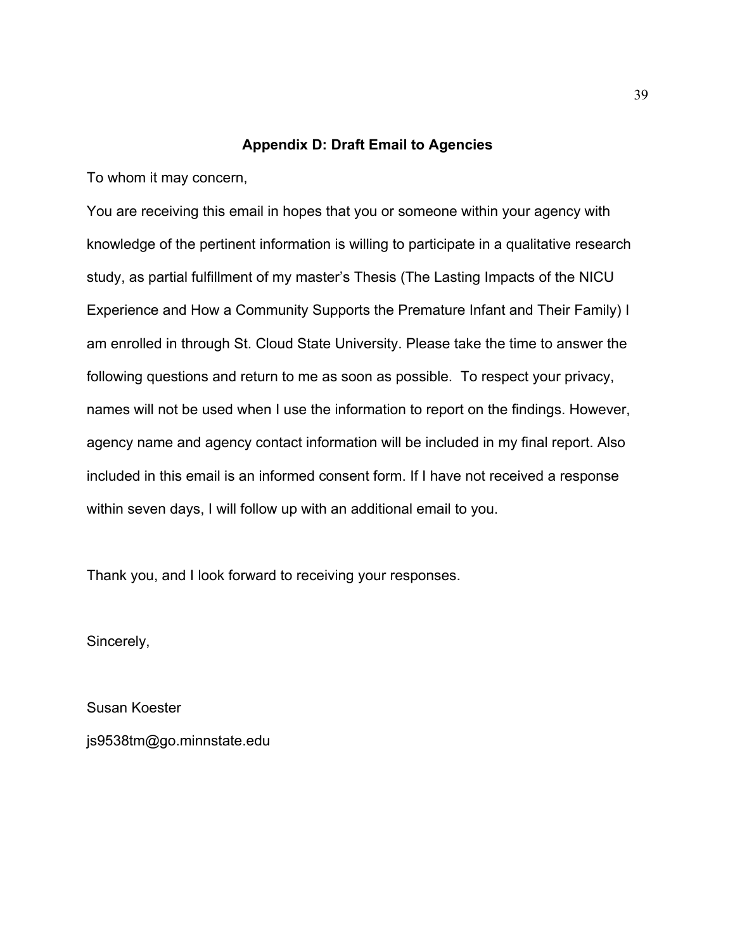#### **Appendix D: Draft Email to Agencies**

To whom it may concern,

You are receiving this email in hopes that you or someone within your agency with knowledge of the pertinent information is willing to participate in a qualitative research study, as partial fulfillment of my master's Thesis (The Lasting Impacts of the NICU Experience and How a Community Supports the Premature Infant and Their Family) I am enrolled in through St. Cloud State University. Please take the time to answer the following questions and return to me as soon as possible. To respect your privacy, names will not be used when I use the information to report on the findings. However, agency name and agency contact information will be included in my final report. Also included in this email is an informed consent form. If I have not received a response within seven days, I will follow up with an additional email to you.

Thank you, and I look forward to receiving your responses.

Sincerely,

Susan Koester js9538tm@go.minnstate.edu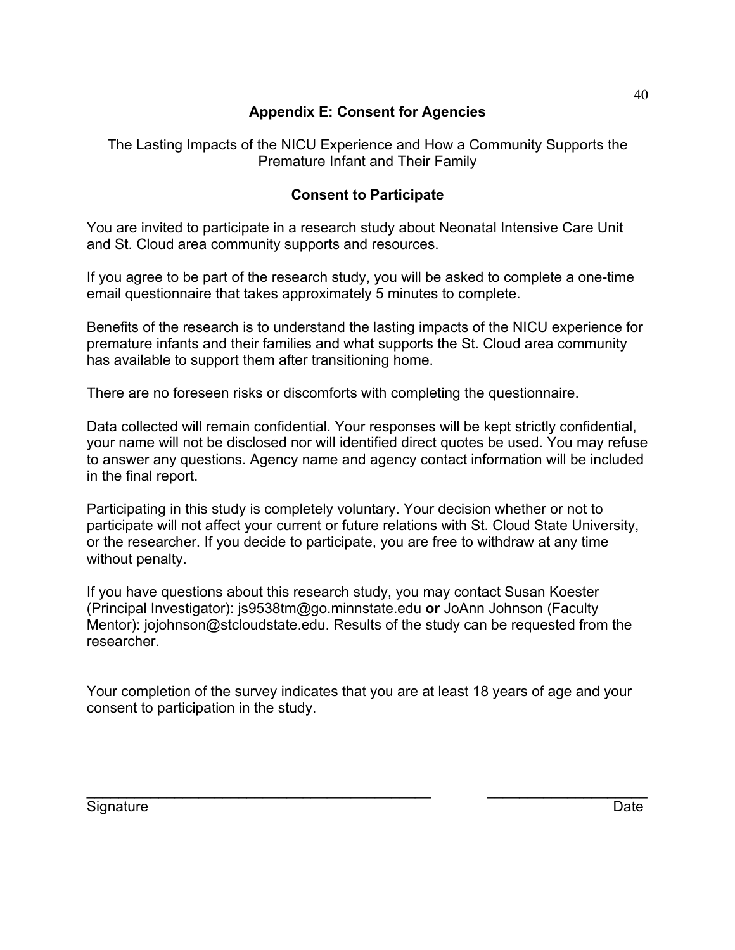## **Appendix E: Consent for Agencies**

The Lasting Impacts of the NICU Experience and How a Community Supports the Premature Infant and Their Family

## **Consent to Participate**

You are invited to participate in a research study about Neonatal Intensive Care Unit and St. Cloud area community supports and resources.

If you agree to be part of the research study, you will be asked to complete a one-time email questionnaire that takes approximately 5 minutes to complete.

Benefits of the research is to understand the lasting impacts of the NICU experience for premature infants and their families and what supports the St. Cloud area community has available to support them after transitioning home.

There are no foreseen risks or discomforts with completing the questionnaire.

Data collected will remain confidential. Your responses will be kept strictly confidential, your name will not be disclosed nor will identified direct quotes be used. You may refuse to answer any questions. Agency name and agency contact information will be included in the final report.

Participating in this study is completely voluntary. Your decision whether or not to participate will not affect your current or future relations with St. Cloud State University, or the researcher. If you decide to participate, you are free to withdraw at any time without penalty.

If you have questions about this research study, you may contact Susan Koester (Principal Investigator): js9538tm@go.minnstate.edu **or** JoAnn Johnson (Faculty Mentor): jojohnson@stcloudstate.edu. Results of the study can be requested from the researcher.

Your completion of the survey indicates that you are at least 18 years of age and your consent to participation in the study.

Signature **Date** 

40

\_\_\_\_\_\_\_\_\_\_\_\_\_\_\_\_\_\_\_\_\_\_\_\_\_\_\_\_\_\_\_\_\_\_\_\_\_\_\_\_\_\_\_ \_\_\_\_\_\_\_\_\_\_\_\_\_\_\_\_\_\_\_\_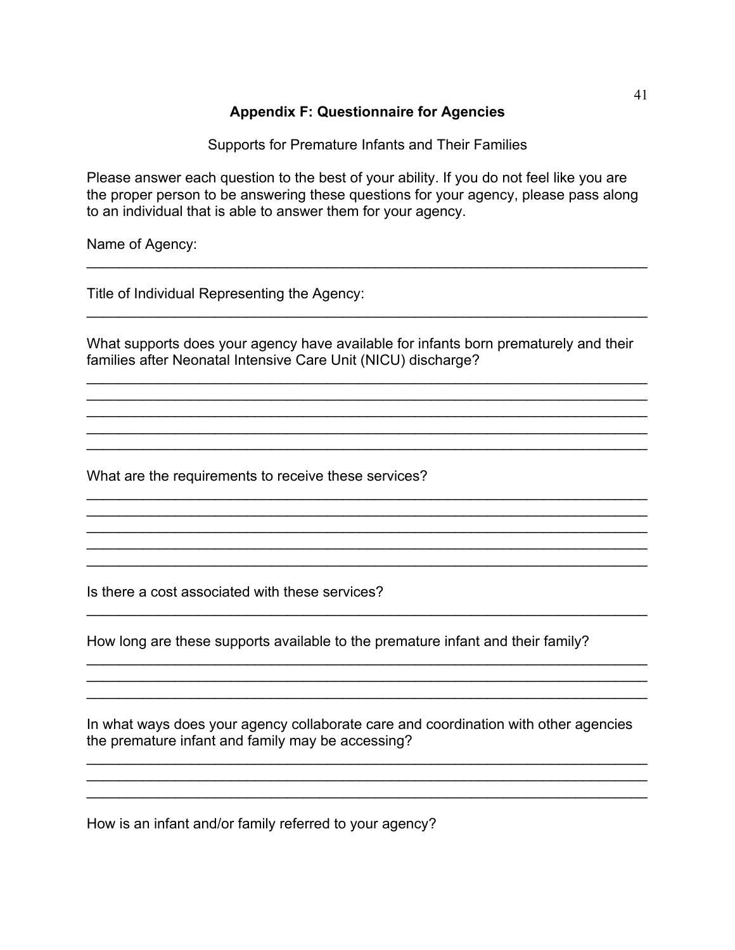## **Appendix F: Questionnaire for Agencies**

Supports for Premature Infants and Their Families

Please answer each question to the best of your ability. If you do not feel like you are the proper person to be answering these questions for your agency, please pass along to an individual that is able to answer them for your agency.

 $\_$  , and the contribution of the contribution of  $\mathcal{L}_\mathcal{A}$  , and the contribution of  $\mathcal{L}_\mathcal{A}$ 

\_\_\_\_\_\_\_\_\_\_\_\_\_\_\_\_\_\_\_\_\_\_\_\_\_\_\_\_\_\_\_\_\_\_\_\_\_\_\_\_\_\_\_\_\_\_\_\_\_\_\_\_\_\_\_\_\_\_\_\_\_\_\_\_\_\_\_\_\_\_

Name of Agency:

Title of Individual Representing the Agency:

What supports does your agency have available for infants born prematurely and their families after Neonatal Intensive Care Unit (NICU) discharge?

\_\_\_\_\_\_\_\_\_\_\_\_\_\_\_\_\_\_\_\_\_\_\_\_\_\_\_\_\_\_\_\_\_\_\_\_\_\_\_\_\_\_\_\_\_\_\_\_\_\_\_\_\_\_\_\_\_\_\_\_\_\_\_\_\_\_\_\_\_\_ \_\_\_\_\_\_\_\_\_\_\_\_\_\_\_\_\_\_\_\_\_\_\_\_\_\_\_\_\_\_\_\_\_\_\_\_\_\_\_\_\_\_\_\_\_\_\_\_\_\_\_\_\_\_\_\_\_\_\_\_\_\_\_\_\_\_\_\_\_\_

 $\_$  , and the contribution of the contribution of  $\mathcal{L}_\mathcal{A}$  , and the contribution of  $\mathcal{L}_\mathcal{A}$ \_\_\_\_\_\_\_\_\_\_\_\_\_\_\_\_\_\_\_\_\_\_\_\_\_\_\_\_\_\_\_\_\_\_\_\_\_\_\_\_\_\_\_\_\_\_\_\_\_\_\_\_\_\_\_\_\_\_\_\_\_\_\_\_\_\_\_\_\_\_

\_\_\_\_\_\_\_\_\_\_\_\_\_\_\_\_\_\_\_\_\_\_\_\_\_\_\_\_\_\_\_\_\_\_\_\_\_\_\_\_\_\_\_\_\_\_\_\_\_\_\_\_\_\_\_\_\_\_\_\_\_\_\_\_\_\_\_\_\_\_

 $\_$  , and the contribution of the contribution of  $\mathcal{L}_\mathcal{A}$  , and the contribution of  $\mathcal{L}_\mathcal{A}$ 

\_\_\_\_\_\_\_\_\_\_\_\_\_\_\_\_\_\_\_\_\_\_\_\_\_\_\_\_\_\_\_\_\_\_\_\_\_\_\_\_\_\_\_\_\_\_\_\_\_\_\_\_\_\_\_\_\_\_\_\_\_\_\_\_\_\_\_\_\_\_

\_\_\_\_\_\_\_\_\_\_\_\_\_\_\_\_\_\_\_\_\_\_\_\_\_\_\_\_\_\_\_\_\_\_\_\_\_\_\_\_\_\_\_\_\_\_\_\_\_\_\_\_\_\_\_\_\_\_\_\_\_\_\_\_\_\_\_\_\_\_

\_\_\_\_\_\_\_\_\_\_\_\_\_\_\_\_\_\_\_\_\_\_\_\_\_\_\_\_\_\_\_\_\_\_\_\_\_\_\_\_\_\_\_\_\_\_\_\_\_\_\_\_\_\_\_\_\_\_\_\_\_\_\_\_\_\_\_\_\_\_  $\_$  , and the contribution of the contribution of  $\mathcal{L}_\mathcal{A}$  , and the contribution of  $\mathcal{L}_\mathcal{A}$  $\_$  , and the contribution of the contribution of  $\mathcal{L}_\mathcal{A}$  , and the contribution of  $\mathcal{L}_\mathcal{A}$ 

\_\_\_\_\_\_\_\_\_\_\_\_\_\_\_\_\_\_\_\_\_\_\_\_\_\_\_\_\_\_\_\_\_\_\_\_\_\_\_\_\_\_\_\_\_\_\_\_\_\_\_\_\_\_\_\_\_\_\_\_\_\_\_\_\_\_\_\_\_\_

What are the requirements to receive these services?

Is there a cost associated with these services?

How long are these supports available to the premature infant and their family?

In what ways does your agency collaborate care and coordination with other agencies the premature infant and family may be accessing?

 $\_$  , and the contribution of the contribution of  $\mathcal{L}_\mathcal{A}$  , and the contribution of  $\mathcal{L}_\mathcal{A}$ \_\_\_\_\_\_\_\_\_\_\_\_\_\_\_\_\_\_\_\_\_\_\_\_\_\_\_\_\_\_\_\_\_\_\_\_\_\_\_\_\_\_\_\_\_\_\_\_\_\_\_\_\_\_\_\_\_\_\_\_\_\_\_\_\_\_\_\_\_\_ \_\_\_\_\_\_\_\_\_\_\_\_\_\_\_\_\_\_\_\_\_\_\_\_\_\_\_\_\_\_\_\_\_\_\_\_\_\_\_\_\_\_\_\_\_\_\_\_\_\_\_\_\_\_\_\_\_\_\_\_\_\_\_\_\_\_\_\_\_\_

How is an infant and/or family referred to your agency?